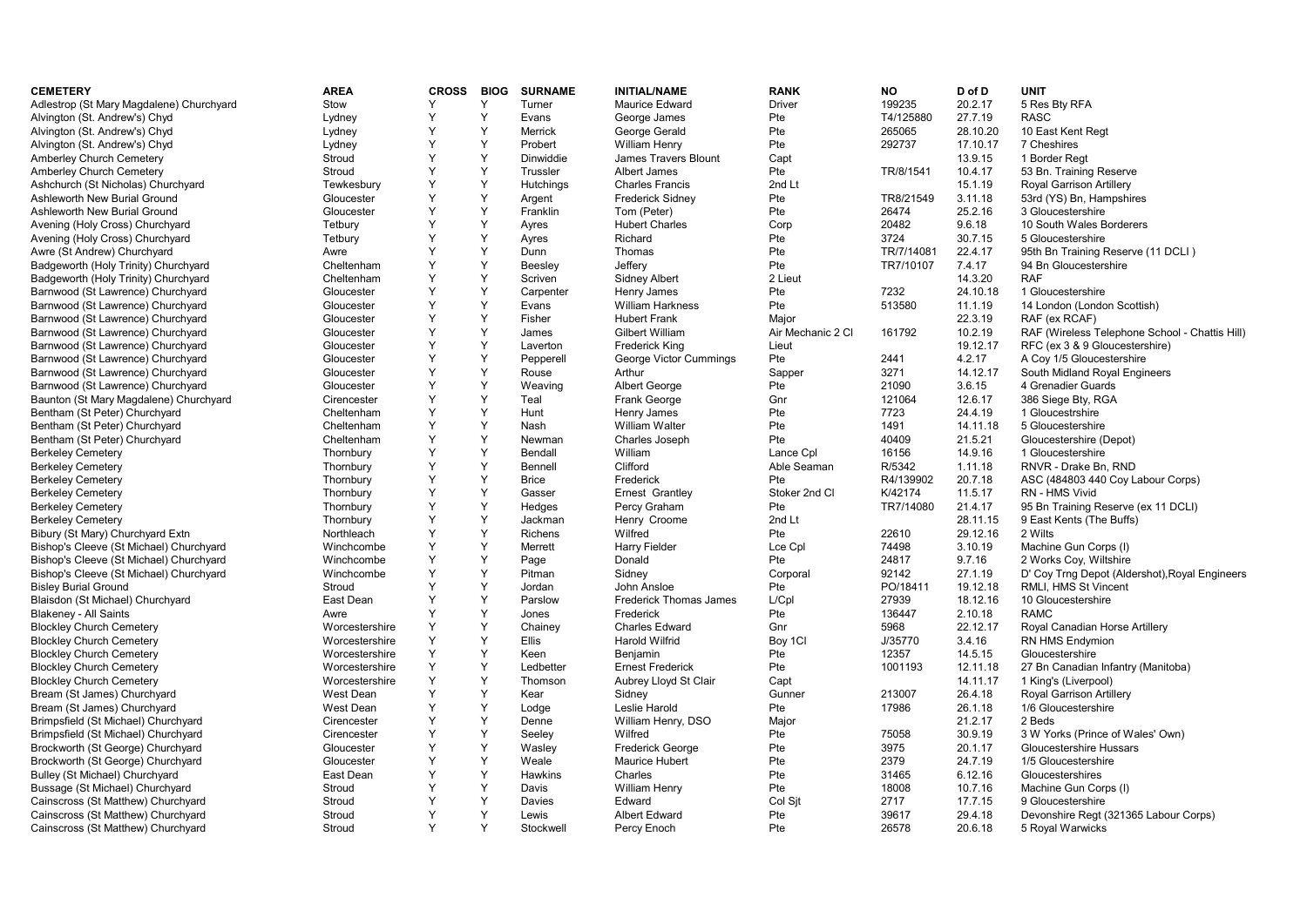| <b>CEMETERY</b>                          | <b>AREA</b>    | <b>CROSS</b> | <b>BIOG</b> | <b>SURNAME</b> | <b>INITIAL/NAME</b>     | <b>RANK</b>       | <b>NO</b>  | D of D   | <b>UNIT</b>                                    |
|------------------------------------------|----------------|--------------|-------------|----------------|-------------------------|-------------------|------------|----------|------------------------------------------------|
| Adlestrop (St Mary Magdalene) Churchyard | Stow           | Y            | Y           | Turner         | <b>Maurice Edward</b>   | <b>Driver</b>     | 199235     | 20.2.17  | 5 Res Bty RFA                                  |
| Alvington (St. Andrew's) Chyd            | Lydney         | Y            | Y           | Evans          | George James            | Pte               | T4/125880  | 27.7.19  | <b>RASC</b>                                    |
| Alvington (St. Andrew's) Chyd            | Lydney         | Y            | Y           | <b>Merrick</b> | George Gerald           | Pte               | 265065     | 28.10.20 | 10 East Kent Regt                              |
| Alvington (St. Andrew's) Chyd            | Lydney         | Y            | Y           | Probert        | William Henry           | Pte               | 292737     | 17.10.17 | 7 Cheshires                                    |
| Amberley Church Cemetery                 | Stroud         | Y            | Y           | Dinwiddie      | James Travers Blount    | Capt              |            | 13.9.15  | 1 Border Regt                                  |
| Amberley Church Cemetery                 | Stroud         | Y            | Y           | Trussler       | Albert James            | Pte               | TR/8/1541  | 10.4.17  | 53 Bn. Training Reserve                        |
| Ashchurch (St Nicholas) Churchyard       | Tewkesbury     | Y            | Υ           | Hutchings      | <b>Charles Francis</b>  | 2nd Lt            |            | 15.1.19  | Royal Garrison Artillery                       |
| Ashleworth New Burial Ground             | Gloucester     | Y            | Y           | Argent         | <b>Frederick Sidney</b> | Pte               | TR8/21549  | 3.11.18  | 53rd (YS) Bn, Hampshires                       |
| Ashleworth New Burial Ground             | Gloucester     | Y            | Y           | Franklin       | Tom (Peter)             | Pte               | 26474      | 25.2.16  | 3 Gloucestershire                              |
| Avening (Holy Cross) Churchyard          | Tetbury        | Y            | Y           | Ayres          | <b>Hubert Charles</b>   | Corp              | 20482      | 9.6.18   | 10 South Wales Borderers                       |
| Avening (Holy Cross) Churchyard          | Tetbury        | Y            | Y           | Ayres          | Richard                 | Pte               | 3724       | 30.7.15  | 5 Gloucestershire                              |
| Awre (St Andrew) Churchyard              | Awre           | Y            | Y           | Dunn           | Thomas                  | Pte               | TR/7/14081 | 22.4.17  | 95th Bn Training Reserve (11 DCLI)             |
| Badgeworth (Holy Trinity) Churchyard     | Cheltenham     | Y            | Y           | Beesley        | Jeffery                 | Pte               | TR7/10107  | 7.4.17   | 94 Bn Gloucestershire                          |
| Badgeworth (Holy Trinity) Churchyard     | Cheltenham     | Y            | Y           | Scriven        | <b>Sidney Albert</b>    | 2 Lieut           |            | 14.3.20  | <b>RAF</b>                                     |
| Barnwood (St Lawrence) Churchyard        | Gloucester     | Y            | Y           | Carpenter      | Henry James             | Pte               | 7232       | 24.10.18 | 1 Gloucestershire                              |
| Barnwood (St Lawrence) Churchyard        | Gloucester     | Y            | Y           | Evans          | <b>William Harkness</b> | Pte               | 513580     | 11.1.19  | 14 London (London Scottish)                    |
| Barnwood (St Lawrence) Churchyard        | Gloucester     | Y            | Y           | Fisher         | <b>Hubert Frank</b>     | Major             |            | 22.3.19  | RAF (ex RCAF)                                  |
| Barnwood (St Lawrence) Churchyard        | Gloucester     | Y            | Y           | James          | Gilbert William         | Air Mechanic 2 Cl | 161792     | 10.2.19  | RAF (Wireless Telephone School - Chattis Hill) |
| Barnwood (St Lawrence) Churchyard        | Gloucester     | Y            | Y           | Laverton       | <b>Frederick King</b>   | Lieut             |            | 19.12.17 | RFC (ex 3 & 9 Gloucestershire)                 |
| Barnwood (St Lawrence) Churchyard        | Gloucester     | Y            | Y           | Pepperell      | George Victor Cummings  | Pte               | 2441       | 4.2.17   | A Coy 1/5 Gloucestershire                      |
| Barnwood (St Lawrence) Churchyard        | Gloucester     | Y            | Y           | Rouse          | Arthur                  | Sapper            | 3271       | 14.12.17 | South Midland Royal Engineers                  |
| Barnwood (St Lawrence) Churchyard        | Gloucester     | Y            | Y           | Weaving        | Albert George           | Pte               | 21090      | 3.6.15   | 4 Grenadier Guards                             |
| Baunton (St Mary Magdalene) Churchyard   | Cirencester    | Y            | Y           | Teal           | Frank George            | Gnr               | 121064     | 12.6.17  | 386 Siege Bty, RGA                             |
| Bentham (St Peter) Churchyard            | Cheltenham     | Y            | Y           | Hunt           | Henry James             | Pte               | 7723       | 24.4.19  | 1 Gloucestrshire                               |
| Bentham (St Peter) Churchyard            | Cheltenham     | Y            | Y           | Nash           | <b>William Walter</b>   | Pte               | 1491       | 14.11.18 | 5 Gloucestershire                              |
| Bentham (St Peter) Churchyard            | Cheltenham     | Y            | Y           | Newman         | Charles Joseph          | Pte               | 40409      | 21.5.21  | Gloucestershire (Depot)                        |
| <b>Berkeley Cemetery</b>                 | Thornbury      | Y            | Y           | Bendall        | William                 | Lance Cpl         | 16156      | 14.9.16  | 1 Gloucestershire                              |
| <b>Berkeley Cemetery</b>                 | Thornbury      | Y            | Y           | Bennell        | Clifford                | Able Seaman       | R/5342     | 1.11.18  | RNVR - Drake Bn. RND                           |
| <b>Berkeley Cemetery</b>                 | Thornbury      | Y            | Y           | <b>Brice</b>   | Frederick               | Pte               | R4/139902  | 20.7.18  | ASC (484803 440 Coy Labour Corps)              |
| <b>Berkeley Cemetery</b>                 | Thornbury      | Y            | Y           | Gasser         | Ernest Grantley         | Stoker 2nd Cl     | K/42174    | 11.5.17  | RN - HMS Vivid                                 |
| <b>Berkeley Cemetery</b>                 | Thornbury      | Y            | Y           | Hedges         | Percy Graham            | Pte               | TR7/14080  | 21.4.17  | 95 Bn Training Reserve (ex 11 DCLI)            |
| <b>Berkeley Cemetery</b>                 | Thornbury      | Y            | Y           | Jackman        | Henry Croome            | 2nd Lt            |            | 28.11.15 | 9 East Kents (The Buffs)                       |
| Bibury (St Mary) Churchyard Extn         | Northleach     | Y            | Y           | <b>Richens</b> | Wilfred                 | Pte               | 22610      | 29.12.16 | 2 Wilts                                        |
| Bishop's Cleeve (St Michael) Churchyard  | Winchcombe     | Y            | Y           | Merrett        | Harry Fielder           | Lce Cpl           | 74498      | 3.10.19  | Machine Gun Corps (I)                          |
| Bishop's Cleeve (St Michael) Churchyard  | Winchcombe     | Y            | Y           | Page           | Donald                  | Pte               | 24817      | 9.7.16   | 2 Works Coy, Wiltshire                         |
| Bishop's Cleeve (St Michael) Churchyard  | Winchcombe     | Y            | Y           | Pitman         | Sidnev                  | Corporal          | 92142      | 27.1.19  | D' Coy Trng Depot (Aldershot), Royal Engineers |
| <b>Bisley Burial Ground</b>              | Stroud         | Y            | Y           | Jordan         | John Ansloe             | Pte               | PO/18411   | 19.12.18 | RMLI, HMS St Vincent                           |
| Blaisdon (St Michael) Churchyard         | East Dean      | Y            | Y           | Parslow        | Frederick Thomas James  | L/Cpl             | 27939      | 18.12.16 | 10 Gloucestershire                             |
| Blakeney - All Saints                    | Awre           | Y            | Y           | Jones          | Frederick               | Pte               | 136447     | 2.10.18  | <b>RAMC</b>                                    |
| <b>Blockley Church Cemetery</b>          | Worcestershire | Y            | Y           | Chainey        | <b>Charles Edward</b>   | Gnr               | 5968       | 22.12.17 | Royal Canadian Horse Artillery                 |
| <b>Blockley Church Cemetery</b>          | Worcestershire | Y            | Y           | <b>Ellis</b>   | Harold Wilfrid          | Boy 1CI           | J/35770    | 3.4.16   | RN HMS Endymion                                |
| <b>Blockley Church Cemetery</b>          | Worcestershire | Y            | Y           | Keen           | Benjamin                | Pte               | 12357      | 14.5.15  | Gloucestershire                                |
| <b>Blockley Church Cemetery</b>          | Worcestershire | Y            | Y           | Ledbetter      | <b>Ernest Frederick</b> | Pte               | 1001193    | 12.11.18 | 27 Bn Canadian Infantry (Manitoba)             |
| <b>Blockley Church Cemetery</b>          | Worcestershire | Y            | Y           | Thomson        | Aubrey Lloyd St Clair   | Capt              |            | 14.11.17 | 1 King's (Liverpool)                           |
| Bream (St James) Churchyard              | West Dean      | Y            | Y           | Kear           | Sidney                  | Gunner            | 213007     | 26.4.18  | Royal Garrison Artillery                       |
| Bream (St James) Churchyard              | West Dean      | Y            | Υ           | Lodge          | Leslie Harold           | Pte               | 17986      | 26.1.18  | 1/6 Gloucestershire                            |
| Brimpsfield (St Michael) Churchyard      | Cirencester    | Y            | Υ           | Denne          | William Henry, DSO      | Major             |            | 21.2.17  | 2 Beds                                         |
| Brimpsfield (St Michael) Churchyard      | Cirencester    | Y            | Y           | Seeley         | Wilfred                 | Pte               | 75058      | 30.9.19  | 3 W Yorks (Prince of Wales' Own)               |
| Brockworth (St George) Churchyard        | Gloucester     | Y            | Y           | Wasley         | <b>Frederick George</b> | Pte               | 3975       | 20.1.17  | Gloucestershire Hussars                        |
| Brockworth (St George) Churchyard        | Gloucester     | Y            | Y           | Weale          | Maurice Hubert          | Pte               | 2379       | 24.7.19  | 1/5 Gloucestershire                            |
| Bulley (St Michael) Churchyard           | East Dean      | Y            | Y           | <b>Hawkins</b> | Charles                 | Pte               | 31465      | 6.12.16  | Gloucestershires                               |
| Bussage (St Michael) Churchyard          | Stroud         | Y            | Y           | Davis          | William Henry           | Pte               | 18008      | 10.7.16  | Machine Gun Corps (I)                          |
| Cainscross (St Matthew) Churchyard       | Stroud         | Y            | Y           | <b>Davies</b>  | Edward                  | Col Sit           | 2717       | 17.7.15  | 9 Gloucestershire                              |
| Cainscross (St Matthew) Churchyard       | Stroud         | Y            | Y           | Lewis          | <b>Albert Edward</b>    | Pte               | 39617      | 29.4.18  | Devonshire Regt (321365 Labour Corps)          |
| Cainscross (St Matthew) Churchyard       | Stroud         | Y            | Y           | Stockwell      | Percy Enoch             | Pte               | 26578      | 20.6.18  | 5 Royal Warwicks                               |
|                                          |                |              |             |                |                         |                   |            |          |                                                |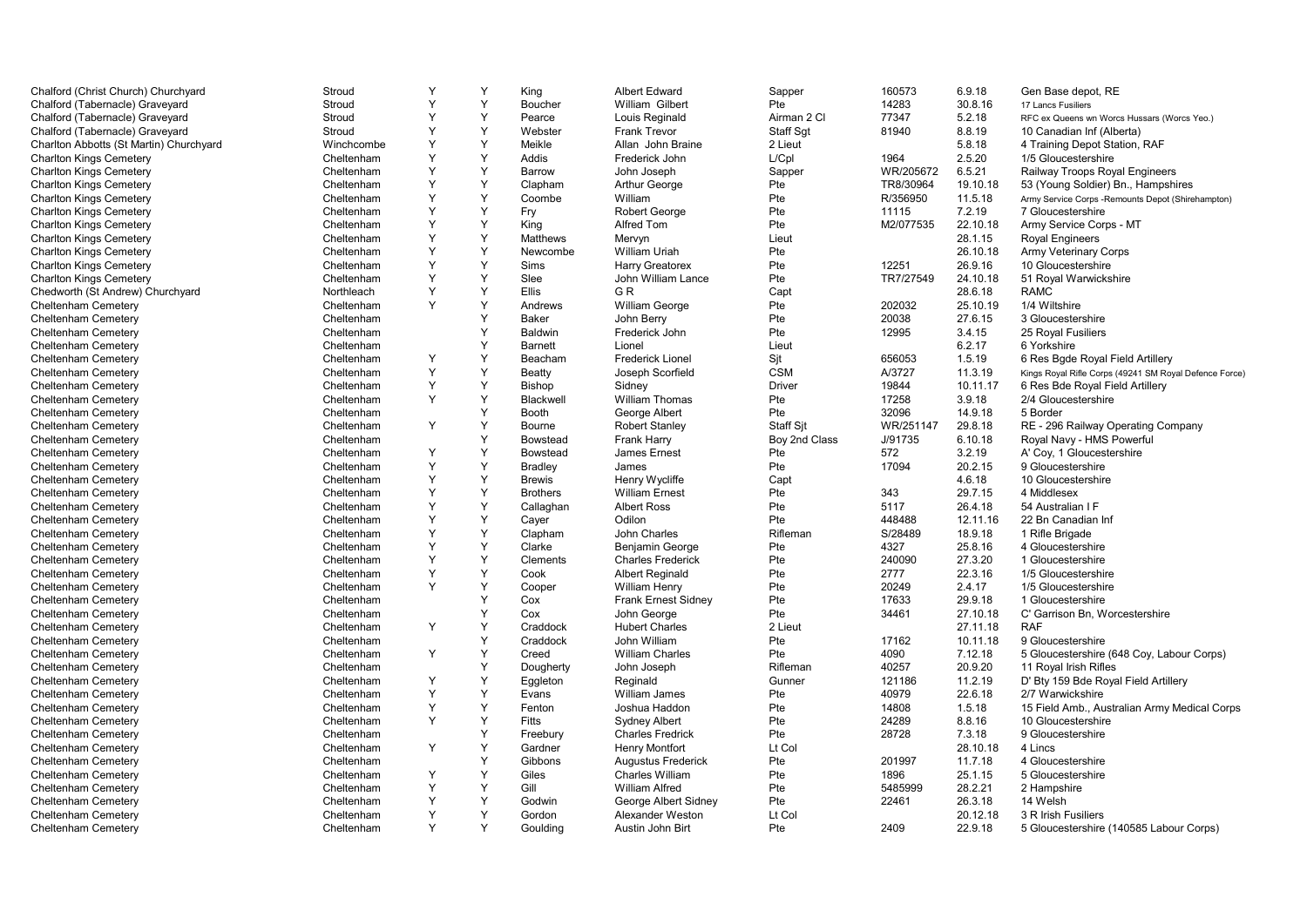| Chalford (Christ Church) Churchyard     | Stroud     | Y | Y | King            | <b>Albert Edward</b>       | Sapper           | 160573    | 6.9.18   | Gen Base depot, RE                                     |
|-----------------------------------------|------------|---|---|-----------------|----------------------------|------------------|-----------|----------|--------------------------------------------------------|
| Chalford (Tabernacle) Graveyard         | Stroud     | Y | Y | Boucher         | William Gilbert            | Pte              | 14283     | 30.8.16  | 17 Lancs Fusiliers                                     |
| Chalford (Tabernacle) Graveyard         | Stroud     | Υ | Y | Pearce          | Louis Reginald             | Airman 2 Cl      | 77347     | 5.2.18   | RFC ex Queens wn Worcs Hussars (Worcs Yeo.)            |
| Chalford (Tabernacle) Graveyard         | Stroud     | Y | Y | Webster         | Frank Trevor               | Staff Sgt        | 81940     | 8.8.19   | 10 Canadian Inf (Alberta)                              |
| Charlton Abbotts (St Martin) Churchyard | Winchcombe | Y | Y | Meikle          | Allan John Braine          | 2 Lieut          |           | 5.8.18   | 4 Training Depot Station, RAF                          |
| <b>Charlton Kings Cemetery</b>          | Cheltenham | Y | Y | Addis           | Frederick John             | L/Cpl            | 1964      | 2.5.20   | 1/5 Gloucestershire                                    |
| <b>Charlton Kings Cemetery</b>          | Cheltenham | Y | Y | <b>Barrow</b>   | John Joseph                | Sapper           | WR/205672 | 6.5.21   | Railway Troops Royal Engineers                         |
| <b>Charlton Kings Cemetery</b>          | Cheltenham | Y | Y | Clapham         | <b>Arthur George</b>       | Pte              | TR8/30964 | 19.10.18 | 53 (Young Soldier) Bn., Hampshires                     |
| <b>Charlton Kings Cemetery</b>          | Cheltenham | Y | Y | Coombe          | William                    | Pte              | R/356950  | 11.5.18  | Army Service Corps - Remounts Depot (Shirehampton)     |
| <b>Charlton Kings Cemetery</b>          | Cheltenham | Y | Y | Fry             | <b>Robert George</b>       | Pte              | 11115     | 7.2.19   | 7 Gloucestershire                                      |
| <b>Charlton Kings Cemetery</b>          | Cheltenham | Y | Y | King            | Alfred Tom                 | Pte              | M2/077535 | 22.10.18 | Army Service Corps - MT                                |
| <b>Charlton Kings Cemetery</b>          | Cheltenham | Y | Y | Matthews        | Mervyn                     | Lieut            |           | 28.1.15  | <b>Royal Engineers</b>                                 |
| <b>Charlton Kings Cemetery</b>          | Cheltenham | Y | Y | Newcombe        | William Uriah              | Pte              |           | 26.10.18 | Army Veterinary Corps                                  |
| <b>Charlton Kings Cemetery</b>          | Cheltenham | Y | Y | Sims            | <b>Harry Greatorex</b>     | Pte              | 12251     | 26.9.16  | 10 Gloucestershire                                     |
| <b>Charlton Kings Cemetery</b>          | Cheltenham | Y | Y | Slee            | John William Lance         | Pte              | TR7/27549 | 24.10.18 | 51 Royal Warwickshire                                  |
| Chedworth (St Andrew) Churchyard        | Northleach | Y | Υ | Ellis           | GR                         | Capt             |           | 28.6.18  | <b>RAMC</b>                                            |
| Cheltenham Cemetery                     | Cheltenham | Y | Υ | Andrews         | William George             | Pte              | 202032    | 25.10.19 | 1/4 Wiltshire                                          |
| Cheltenham Cemetery                     | Cheltenham |   | Y | <b>Baker</b>    | John Berry                 | Pte              | 20038     | 27.6.15  | 3 Gloucestershire                                      |
| Cheltenham Cemetery                     | Cheltenham |   | Y | Baldwin         | Frederick John             | Pte              | 12995     | 3.4.15   | 25 Royal Fusiliers                                     |
| Cheltenham Cemetery                     | Cheltenham |   | Υ | <b>Barnett</b>  | Lionel                     | Lieut            |           | 6.2.17   | 6 Yorkshire                                            |
| Cheltenham Cemetery                     | Cheltenham | Y | Y | Beacham         | <b>Frederick Lionel</b>    | Sjt              | 656053    | 1.5.19   | 6 Res Bgde Royal Field Artillery                       |
| Cheltenham Cemetery                     | Cheltenham | Y | Y | Beatty          | Joseph Scorfield           | <b>CSM</b>       | A/3727    | 11.3.19  | Kings Royal Rifle Corps (49241 SM Royal Defence Force) |
| Cheltenham Cemetery                     | Cheltenham | Y | Y | <b>Bishop</b>   | Sidney                     | <b>Driver</b>    | 19844     | 10.11.17 | 6 Res Bde Royal Field Artillery                        |
| Cheltenham Cemetery                     | Cheltenham | Y | Y | Blackwell       | William Thomas             | Pte              | 17258     | 3.9.18   | 2/4 Gloucestershire                                    |
| Cheltenham Cemetery                     | Cheltenham |   | Y | Booth           | George Albert              | Pte              | 32096     | 14.9.18  | 5 Border                                               |
| Cheltenham Cemetery                     | Cheltenham | Y | Y | Bourne          | <b>Robert Stanley</b>      | <b>Staff Sit</b> | WR/251147 | 29.8.18  | RE - 296 Railway Operating Company                     |
| Cheltenham Cemetery                     | Cheltenham |   | Y | <b>Bowstead</b> | <b>Frank Harry</b>         | Boy 2nd Class    | J/91735   | 6.10.18  | Royal Navy - HMS Powerful                              |
| Cheltenham Cemetery                     | Cheltenham | Y | Y | <b>Bowstead</b> | James Ernest               | Pte              | 572       | 3.2.19   | A' Coy, 1 Gloucestershire                              |
| Cheltenham Cemetery                     | Cheltenham | Υ | Υ | <b>Bradley</b>  | James                      | Pte              | 17094     | 20.2.15  | 9 Gloucestershire                                      |
| Cheltenham Cemetery                     | Cheltenham | Y | Y | <b>Brewis</b>   | Henry Wycliffe             | Capt             |           | 4.6.18   | 10 Gloucestershire                                     |
| Cheltenham Cemetery                     | Cheltenham | Y | Y | <b>Brothers</b> | <b>William Ernest</b>      | Pte              | 343       | 29.7.15  | 4 Middlesex                                            |
| Cheltenham Cemetery                     | Cheltenham | Y | Y | Callaghan       | <b>Albert Ross</b>         | Pte              | 5117      | 26.4.18  | 54 Australian I F                                      |
| Cheltenham Cemetery                     | Cheltenham | Y | Υ | Cayer           | Odilon                     | Pte              | 448488    | 12.11.16 | 22 Bn Canadian Inf                                     |
| Cheltenham Cemetery                     | Cheltenham | Y | Y | Clapham         | John Charles               | Rifleman         | S/28489   | 18.9.18  | 1 Rifle Brigade                                        |
| Cheltenham Cemetery                     | Cheltenham | Y | Y | Clarke          | Benjamin George            | Pte              | 4327      | 25.8.16  | 4 Gloucestershire                                      |
| Cheltenham Cemetery                     | Cheltenham | Y | Y | Clements        | <b>Charles Frederick</b>   | Pte              | 240090    | 27.3.20  | 1 Gloucestershire                                      |
| Cheltenham Cemetery                     | Cheltenham | Y | Y | Cook            | <b>Albert Reginald</b>     | Pte              | 2777      | 22.3.16  | 1/5 Gloucestershire                                    |
| <b>Cheltenham Cemetery</b>              | Cheltenham | Y | Y | Cooper          | <b>William Henry</b>       | Pte              | 20249     | 2.4.17   | 1/5 Gloucestershire                                    |
| <b>Cheltenham Cemetery</b>              | Cheltenham |   | Y | Cox             | <b>Frank Ernest Sidney</b> | Pte              | 17633     | 29.9.18  | 1 Gloucestershire                                      |
| <b>Cheltenham Cemetery</b>              | Cheltenham |   | Y | Cox             | John George                | Pte              | 34461     | 27.10.18 | C' Garrison Bn, Worcestershire                         |
| Cheltenham Cemetery                     | Cheltenham | Y | Y | Craddock        | <b>Hubert Charles</b>      | 2 Lieut          |           | 27.11.18 | <b>RAF</b>                                             |
| Cheltenham Cemetery                     | Cheltenham |   | Y | Craddock        | John William               | Pte              | 17162     | 10.11.18 | 9 Gloucestershire                                      |
| <b>Cheltenham Cemetery</b>              | Cheltenham | Y | Y | Creed           | <b>William Charles</b>     | Pte              | 4090      | 7.12.18  | 5 Gloucestershire (648 Coy, Labour Corps)              |
| <b>Cheltenham Cemetery</b>              | Cheltenham |   | Y | Dougherty       | John Joseph                | Rifleman         | 40257     | 20.9.20  | 11 Royal Irish Rifles                                  |
| Cheltenham Cemetery                     | Cheltenham | Y | Υ | Eggleton        | Reginald                   | Gunner           | 121186    | 11.2.19  | D' Bty 159 Bde Royal Field Artillery                   |
| Cheltenham Cemetery                     | Cheltenham | Y | Y | Evans           | William James              | Pte              | 40979     | 22.6.18  | 2/7 Warwickshire                                       |
| <b>Cheltenham Cemetery</b>              | Cheltenham | Y | Y | Fenton          | Joshua Haddon              | Pte              | 14808     | 1.5.18   | 15 Field Amb., Australian Army Medical Corps           |
| Cheltenham Cemetery                     | Cheltenham | Y | Υ | Fitts           | <b>Sydney Albert</b>       | Pte              | 24289     | 8.8.16   | 10 Gloucestershire                                     |
| <b>Cheltenham Cemetery</b>              | Cheltenham |   | Υ | Freebury        | <b>Charles Fredrick</b>    | Pte              | 28728     | 7.3.18   | 9 Gloucestershire                                      |
| Cheltenham Cemetery                     | Cheltenham | Y | Y | Gardner         | <b>Henry Montfort</b>      | Lt Col           |           | 28.10.18 | 4 Lincs                                                |
| Cheltenham Cemetery                     | Cheltenham |   | Y | Gibbons         | Augustus Frederick         | Pte              | 201997    | 11.7.18  | 4 Gloucestershire                                      |
| <b>Cheltenham Cemetery</b>              | Cheltenham | Υ | Y | Giles           | <b>Charles William</b>     | Pte              | 1896      | 25.1.15  | 5 Gloucestershire                                      |
| Cheltenham Cemetery                     | Cheltenham | Y | Y | Gill            | <b>William Alfred</b>      | Pte              | 5485999   | 28.2.21  | 2 Hampshire                                            |
| Cheltenham Cemetery                     | Cheltenham | Y | Y | Godwin          | George Albert Sidney       | Pte              | 22461     | 26.3.18  | 14 Welsh                                               |
| <b>Cheltenham Cemetery</b>              | Cheltenham | Y | Y | Gordon          | Alexander Weston           | Lt Col           |           | 20.12.18 | 3 R Irish Fusiliers                                    |
| <b>Cheltenham Cemetery</b>              | Cheltenham | Y | Y | Goulding        | Austin John Birt           | Pte              | 2409      | 22.9.18  | 5 Gloucestershire (140585 Labour Corps)                |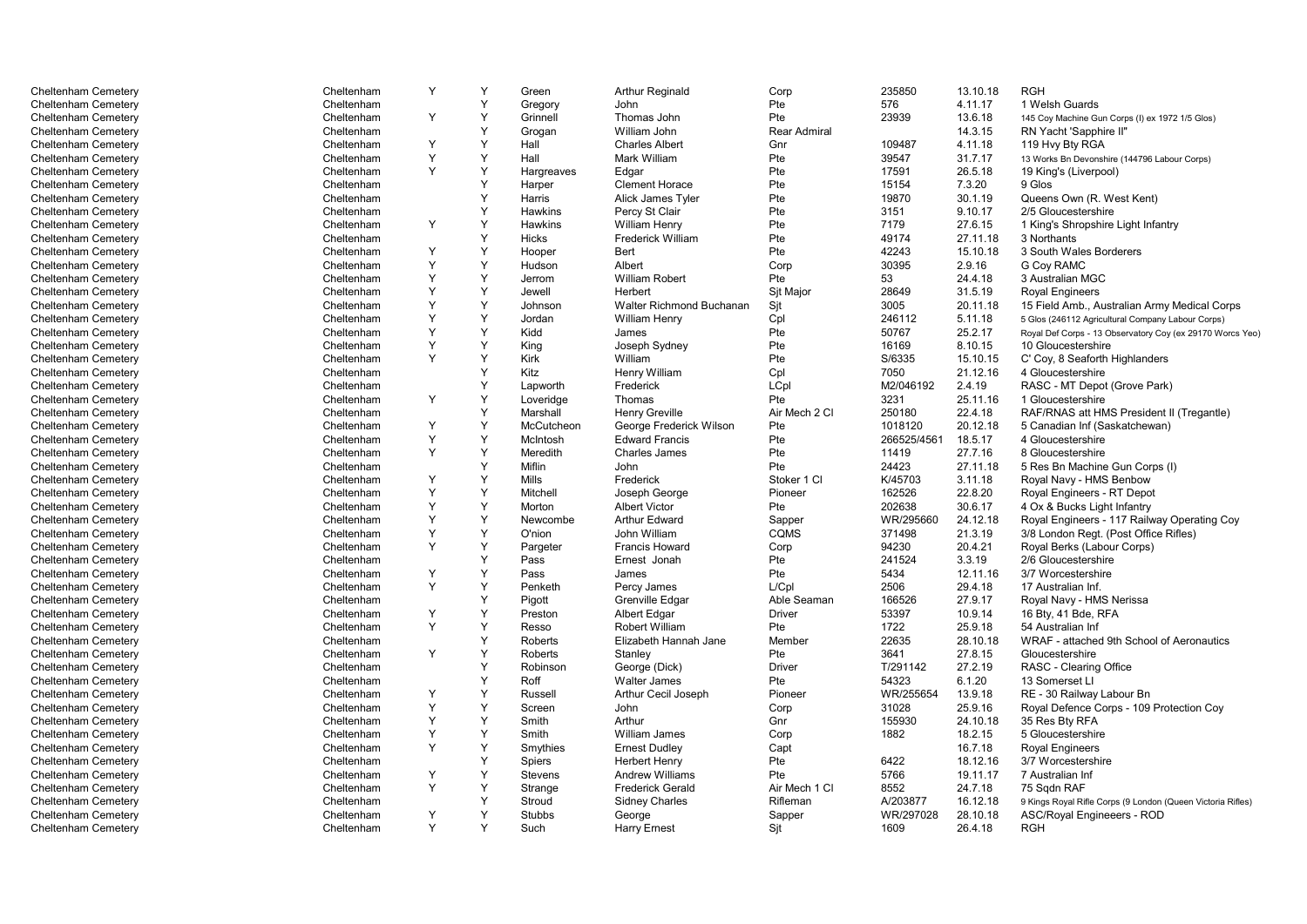| Cheltenham Cemetery | Cheltenham | Y | Y | Green          | <b>Arthur Reginald</b>   | Corp                | 235850      | 13.10.18 | <b>RGH</b>                                                  |
|---------------------|------------|---|---|----------------|--------------------------|---------------------|-------------|----------|-------------------------------------------------------------|
| Cheltenham Cemetery | Cheltenham |   | Y | Gregory        | John                     | Pte                 | 576         | 4.11.17  | 1 Welsh Guards                                              |
| Cheltenham Cemetery | Cheltenham | Y | Y | Grinnell       | Thomas John              | Pte                 | 23939       | 13.6.18  | 145 Coy Machine Gun Corps (I) ex 1972 1/5 Glos)             |
| Cheltenham Cemetery | Cheltenham |   | Y | Grogan         | William John             | <b>Rear Admiral</b> |             | 14.3.15  | RN Yacht 'Sapphire II"                                      |
| Cheltenham Cemetery | Cheltenham | Y | Y | Hall           | <b>Charles Albert</b>    | Gnr                 | 109487      | 4.11.18  | 119 Hvy Bty RGA                                             |
| Cheltenham Cemetery | Cheltenham | Y | Υ | Hall           | Mark William             | Pte                 | 39547       | 31.7.17  | 13 Works Bn Devonshire (144796 Labour Corps)                |
| Cheltenham Cemetery | Cheltenham | Y | Y | Hargreaves     | Edgar                    | Pte                 | 17591       | 26.5.18  | 19 King's (Liverpool)                                       |
| Cheltenham Cemetery | Cheltenham |   | Y | Harper         | <b>Clement Horace</b>    | Pte                 | 15154       | 7.3.20   | 9 Glos                                                      |
| Cheltenham Cemetery | Cheltenham |   | Y | Harris         | Alick James Tyler        | Pte                 | 19870       | 30.1.19  | Queens Own (R. West Kent)                                   |
| Cheltenham Cemetery | Cheltenham |   | Y | Hawkins        | Percy St Clair           | Pte                 | 3151        | 9.10.17  | 2/5 Gloucestershire                                         |
| Cheltenham Cemetery | Cheltenham | Υ | Y | Hawkins        | <b>William Henry</b>     | Pte                 | 7179        | 27.6.15  | 1 King's Shropshire Light Infantry                          |
| Cheltenham Cemetery | Cheltenham |   | Y | Hicks          | Frederick William        | Pte                 | 49174       | 27.11.18 | 3 Northants                                                 |
| Cheltenham Cemetery | Cheltenham | Y | Y | Hooper         | Bert                     | Pte                 | 42243       | 15.10.18 | 3 South Wales Borderers                                     |
| Cheltenham Cemetery | Cheltenham | Y | Y | Hudson         | Albert                   | Corp                | 30395       | 2.9.16   | <b>G Coy RAMC</b>                                           |
| Cheltenham Cemetery | Cheltenham | Y | Υ | Jerrom         | William Robert           | Pte                 | 53          | 24.4.18  | 3 Australian MGC                                            |
| Cheltenham Cemetery | Cheltenham | Y | Y | Jewell         | Herbert                  | Sit Major           | 28649       | 31.5.19  | <b>Royal Engineers</b>                                      |
| Cheltenham Cemetery | Cheltenham | Y | Y | Johnson        | Walter Richmond Buchanan | Sjt                 | 3005        | 20.11.18 | 15 Field Amb., Australian Army Medical Corps                |
| Cheltenham Cemetery | Cheltenham | Y | Y | Jordan         | <b>William Henry</b>     | Cpl                 | 246112      | 5.11.18  | 5 Glos (246112 Agricultural Company Labour Corps)           |
| Cheltenham Cemetery | Cheltenham | Y | Y | Kidd           | James                    | Pte                 | 50767       | 25.2.17  | Royal Def Corps - 13 Observatory Coy (ex 29170 Worcs Yeo)   |
| Cheltenham Cemetery | Cheltenham | Y | Y | King           | Joseph Sydney            | Pte                 | 16169       | 8.10.15  | 10 Gloucestershire                                          |
| Cheltenham Cemetery | Cheltenham | Y | Y | <b>Kirk</b>    | William                  | Pte                 | S/6335      | 15.10.15 | C' Coy, 8 Seaforth Highlanders                              |
| Cheltenham Cemetery | Cheltenham |   | Y | Kitz           | Henry William            | Cpl                 | 7050        | 21.12.16 | 4 Gloucestershire                                           |
| Cheltenham Cemetery | Cheltenham |   | Y | Lapworth       | Frederick                | LCpl                | M2/046192   | 2.4.19   | RASC - MT Depot (Grove Park)                                |
| Cheltenham Cemetery | Cheltenham | Y | Y | Loveridge      | Thomas                   | Pte                 | 3231        | 25.11.16 | 1 Gloucestershire                                           |
| Cheltenham Cemetery | Cheltenham |   | Y | Marshall       | Henry Greville           | Air Mech 2 Cl       | 250180      | 22.4.18  | RAF/RNAS att HMS President II (Tregantle)                   |
| Cheltenham Cemetery | Cheltenham | Y | Y | McCutcheon     | George Frederick Wilson  | Pte                 | 1018120     | 20.12.18 | 5 Canadian Inf (Saskatchewan)                               |
| Cheltenham Cemetery | Cheltenham | Y | Y | McIntosh       | <b>Edward Francis</b>    | Pte                 | 266525/4561 | 18.5.17  | 4 Gloucestershire                                           |
| Cheltenham Cemetery | Cheltenham | Y | Y | Meredith       | <b>Charles James</b>     | Pte                 | 11419       | 27.7.16  | 8 Gloucestershire                                           |
| Cheltenham Cemetery | Cheltenham |   | Y | <b>Miflin</b>  | John                     | Pte                 | 24423       | 27.11.18 | 5 Res Bn Machine Gun Corps (I)                              |
| Cheltenham Cemetery | Cheltenham | Y | Y | Mills          | Frederick                | Stoker 1 Cl         | K/45703     | 3.11.18  | Royal Navy - HMS Benbow                                     |
| Cheltenham Cemetery | Cheltenham | Y | Y | Mitchell       | Joseph George            | Pioneer             | 162526      | 22.8.20  | Royal Engineers - RT Depot                                  |
| Cheltenham Cemetery | Cheltenham | Y | Y | Morton         | <b>Albert Victor</b>     | Pte                 | 202638      | 30.6.17  | 4 Ox & Bucks Light Infantry                                 |
| Cheltenham Cemetery | Cheltenham | Y | Y | Newcombe       | <b>Arthur Edward</b>     | Sapper              | WR/295660   | 24.12.18 | Royal Engineers - 117 Railway Operating Coy                 |
| Cheltenham Cemetery | Cheltenham | Y | Υ | O'nion         | John William             | CQMS                | 371498      | 21.3.19  | 3/8 London Regt. (Post Office Rifles)                       |
| Cheltenham Cemetery | Cheltenham | Y | Y | Pargeter       | <b>Francis Howard</b>    | Corp                | 94230       | 20.4.21  | Royal Berks (Labour Corps)                                  |
| Cheltenham Cemetery | Cheltenham |   | Y | Pass           | Ernest Jonah             | Pte                 | 241524      | 3.3.19   | 2/6 Gloucestershire                                         |
| Cheltenham Cemetery | Cheltenham | Y | Y | Pass           | James                    | Pte                 | 5434        | 12.11.16 | 3/7 Worcestershire                                          |
| Cheltenham Cemetery | Cheltenham | Y | Y | Penketh        | Percy James              | L/Cpl               | 2506        | 29.4.18  | 17 Australian Inf.                                          |
| Cheltenham Cemetery | Cheltenham |   | Y | Pigott         | Grenville Edgar          | Able Seaman         | 166526      | 27.9.17  | Royal Navy - HMS Nerissa                                    |
| Cheltenham Cemetery | Cheltenham | Y | Y | Preston        | Albert Edgar             | <b>Driver</b>       | 53397       | 10.9.14  | 16 Bty, 41 Bde, RFA                                         |
| Cheltenham Cemetery | Cheltenham | Y | Y | Resso          | <b>Robert William</b>    | Pte                 | 1722        | 25.9.18  | 54 Australian Inf                                           |
| Cheltenham Cemetery | Cheltenham |   | Y | <b>Roberts</b> | Elizabeth Hannah Jane    | Member              | 22635       | 28.10.18 | WRAF - attached 9th School of Aeronautics                   |
| Cheltenham Cemetery | Cheltenham | Y | Y | <b>Roberts</b> | Stanley                  | Pte                 | 3641        | 27.8.15  | Gloucestershire                                             |
| Cheltenham Cemetery | Cheltenham |   | Y | Robinson       | George (Dick)            | <b>Driver</b>       | T/291142    | 27.2.19  | RASC - Clearing Office                                      |
| Cheltenham Cemetery | Cheltenham |   | Y | Roff           | <b>Walter James</b>      | Pte                 | 54323       | 6.1.20   | 13 Somerset LI                                              |
| Cheltenham Cemetery | Cheltenham | Y | Y | Russell        | Arthur Cecil Joseph      | Pioneer             | WR/255654   | 13.9.18  | RE - 30 Railway Labour Bn                                   |
| Cheltenham Cemetery | Cheltenham | Y | Y | Screen         | John                     | Corp                | 31028       | 25.9.16  | Royal Defence Corps - 109 Protection Coy                    |
| Cheltenham Cemetery | Cheltenham | Y | Y | Smith          | Arthur                   | Gnr                 | 155930      | 24.10.18 | 35 Res Bty RFA                                              |
| Cheltenham Cemetery | Cheltenham | Y | Y | Smith          | William James            | Corp                | 1882        | 18.2.15  | 5 Gloucestershire                                           |
| Cheltenham Cemetery | Cheltenham | Y | Y | Smythies       | <b>Ernest Dudley</b>     | Capt                |             | 16.7.18  | <b>Royal Engineers</b>                                      |
| Cheltenham Cemetery | Cheltenham |   | Y | Spiers         | <b>Herbert Henry</b>     | Pte                 | 6422        | 18.12.16 | 3/7 Worcestershire                                          |
| Cheltenham Cemetery | Cheltenham | Y | Υ | Stevens        | <b>Andrew Williams</b>   | Pte                 | 5766        | 19.11.17 | 7 Australian Inf                                            |
| Cheltenham Cemetery | Cheltenham | Y | Y | Strange        | <b>Frederick Gerald</b>  | Air Mech 1 Cl       | 8552        | 24.7.18  | 75 Sqdn RAF                                                 |
| Cheltenham Cemetery | Cheltenham |   | Y | Stroud         | <b>Sidney Charles</b>    | Rifleman            | A/203877    | 16.12.18 | 9 Kings Royal Rifle Corps (9 London (Queen Victoria Rifles) |
| Cheltenham Cemetery | Cheltenham | Y | Y | Stubbs         | George                   | Sapper              | WR/297028   | 28.10.18 | ASC/Royal Engineeers - ROD                                  |
| Cheltenham Cemetery | Cheltenham | Y | Y | Such           | <b>Harry Ernest</b>      | Sit                 | 1609        | 26.4.18  | <b>RGH</b>                                                  |
|                     |            |   |   |                |                          |                     |             |          |                                                             |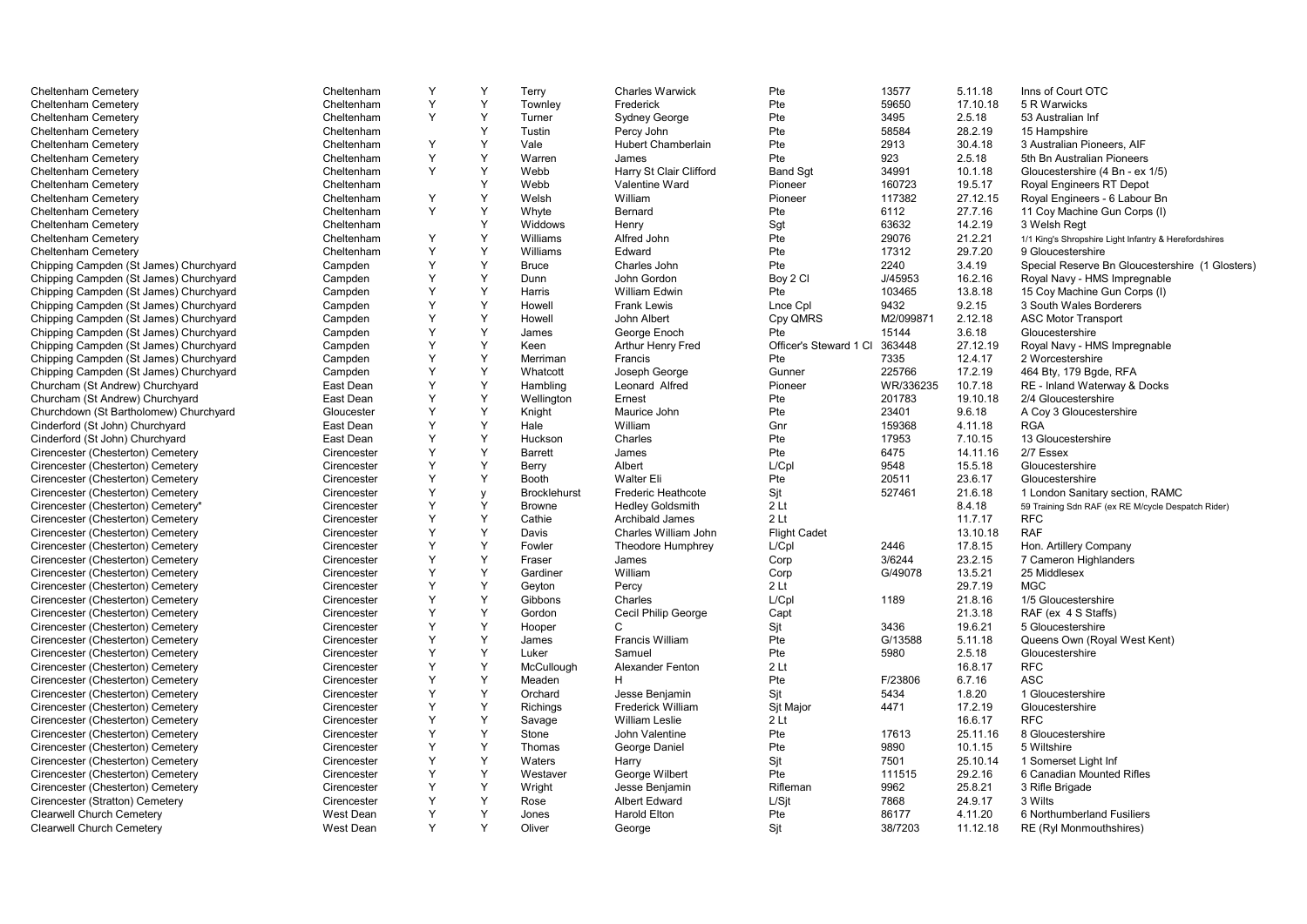| Cheltenham Cemetery                    | Cheltenham  | Y | Y | Terry               | <b>Charles Warwick</b>    | Pte                    | 13577     | 5.11.18  | Inns of Court OTC                                       |
|----------------------------------------|-------------|---|---|---------------------|---------------------------|------------------------|-----------|----------|---------------------------------------------------------|
| Cheltenham Cemetery                    | Cheltenham  | Y | Y | Townley             | Frederick                 | Pte                    | 59650     | 17.10.18 | 5 R Warwicks                                            |
| Cheltenham Cemetery                    | Cheltenham  | Y | Y | Turner              | <b>Sydney George</b>      | Pte                    | 3495      | 2.5.18   | 53 Australian Inf                                       |
| Cheltenham Cemetery                    | Cheltenham  |   | Y | Tustin              | Percy John                | Pte                    | 58584     | 28.2.19  | 15 Hampshire                                            |
| Cheltenham Cemetery                    | Cheltenham  | Y | Y | Vale                | <b>Hubert Chamberlain</b> | Pte                    | 2913      | 30.4.18  | 3 Australian Pioneers, AIF                              |
| Cheltenham Cemetery                    | Cheltenham  | Y | Y | Warren              | James                     | Pte                    | 923       | 2.5.18   | 5th Bn Australian Pioneers                              |
| Cheltenham Cemetery                    | Cheltenham  | Y | Y | Webb                | Harry St Clair Clifford   | <b>Band Sqt</b>        | 34991     | 10.1.18  | Gloucestershire (4 Bn - ex 1/5)                         |
| Cheltenham Cemetery                    | Cheltenham  |   | Y | Webb                | Valentine Ward            | Pioneer                | 160723    | 19.5.17  | Royal Engineers RT Depot                                |
| Cheltenham Cemetery                    | Cheltenham  | Y | Y | Welsh               | William                   | Pioneer                | 117382    | 27.12.15 | Royal Engineers - 6 Labour Bn                           |
| Cheltenham Cemetery                    | Cheltenham  | Y | Y | Whyte               | Bernard                   | Pte                    | 6112      | 27.7.16  | 11 Coy Machine Gun Corps (I)                            |
| Cheltenham Cemetery                    | Cheltenham  |   | Y | Widdows             | Henry                     | Sgt                    | 63632     | 14.2.19  | 3 Welsh Reat                                            |
| Cheltenham Cemetery                    | Cheltenham  | Y | Y | Williams            | Alfred John               | Pte                    | 29076     | 21.2.21  | 1/1 King's Shropshire Light Infantry & Herefordshires   |
| Cheltenham Cemetery                    | Cheltenham  | Y | Y | Williams            | Edward                    | Pte                    | 17312     | 29.7.20  | 9 Gloucestershire                                       |
| Chipping Campden (St James) Churchyard | Campden     | Y | Y | <b>Bruce</b>        | Charles John              | Pte                    | 2240      | 3.4.19   | Special Reserve Bn Gloucestershire (1 Glosters)         |
| Chipping Campden (St James) Churchyard | Campden     | Υ | Y | Dunn                | John Gordon               | Boy 2 CI               | J/45953   | 16.2.16  | Royal Navy - HMS Impregnable                            |
|                                        |             | Y | Y | Harris              | William Edwin             | Pte                    | 103465    | 13.8.18  |                                                         |
| Chipping Campden (St James) Churchyard | Campden     | Y | Y | Howell              | <b>Frank Lewis</b>        |                        | 9432      | 9.2.15   | 15 Coy Machine Gun Corps (I)<br>3 South Wales Borderers |
| Chipping Campden (St James) Churchyard | Campden     | Y | Y |                     | John Albert               | Lnce Cpl               |           | 2.12.18  |                                                         |
| Chipping Campden (St James) Churchyard | Campden     | Y | Y | Howell              |                           | Cpy QMRS               | M2/099871 |          | <b>ASC Motor Transport</b>                              |
| Chipping Campden (St James) Churchyard | Campden     |   | Y | James               | George Enoch              | Pte                    | 15144     | 3.6.18   | Gloucestershire                                         |
| Chipping Campden (St James) Churchyard | Campden     | Y |   | Keen                | Arthur Henry Fred         | Officer's Steward 1 CI | 363448    | 27.12.19 | Royal Navy - HMS Impregnable                            |
| Chipping Campden (St James) Churchyard | Campden     | Y | Y | Merriman            | Francis                   | Pte                    | 7335      | 12.4.17  | 2 Worcestershire                                        |
| Chipping Campden (St James) Churchyard | Campden     | Y | Y | Whatcott            | Joseph George             | Gunner                 | 225766    | 17.2.19  | 464 Bty, 179 Bgde, RFA                                  |
| Churcham (St Andrew) Churchyard        | East Dean   | Y | Y | Hambling            | Leonard Alfred            | Pioneer                | WR/336235 | 10.7.18  | RE - Inland Waterway & Docks                            |
| Churcham (St Andrew) Churchyard        | East Dean   | Y | Y | Wellington          | Ernest                    | Pte                    | 201783    | 19.10.18 | 2/4 Gloucestershire                                     |
| Churchdown (St Bartholomew) Churchyard | Gloucester  | Y | Y | Knight              | Maurice John              | Pte                    | 23401     | 9.6.18   | A Coy 3 Gloucestershire                                 |
| Cinderford (St John) Churchyard        | East Dean   | Y | Y | Hale                | William                   | Gnr                    | 159368    | 4.11.18  | <b>RGA</b>                                              |
| Cinderford (St John) Churchyard        | East Dean   | Y | Υ | Huckson             | Charles                   | Pte                    | 17953     | 7.10.15  | 13 Gloucestershire                                      |
| Cirencester (Chesterton) Cemetery      | Cirencester | Y | Y | <b>Barrett</b>      | James                     | Pte                    | 6475      | 14.11.16 | 2/7 Essex                                               |
| Cirencester (Chesterton) Cemetery      | Cirencester | Y | Y | Berry               | Albert                    | L/CDI                  | 9548      | 15.5.18  | Gloucestershire                                         |
| Cirencester (Chesterton) Cemetery      | Cirencester | Y | Y | <b>Booth</b>        | <b>Walter Eli</b>         | Pte                    | 20511     | 23.6.17  | Gloucestershire                                         |
| Cirencester (Chesterton) Cemetery      | Cirencester | Y | y | <b>Brocklehurst</b> | <b>Frederic Heathcote</b> | Sit                    | 527461    | 21.6.18  | 1 London Sanitary section, RAMC                         |
| Cirencester (Chesterton) Cemetery*     | Cirencester | Y | Y | <b>Browne</b>       | <b>Hedley Goldsmith</b>   | 2 <sub>lt</sub>        |           | 8.4.18   | 59 Training Sdn RAF (ex RE M/cycle Despatch Rider)      |
| Cirencester (Chesterton) Cemetery      | Cirencester | Y | Y | Cathie              | Archibald James           | 2 <sub>lt</sub>        |           | 11.7.17  | <b>RFC</b>                                              |
| Cirencester (Chesterton) Cemetery      | Cirencester | Y | Y | Davis               | Charles William John      | <b>Flight Cadet</b>    |           | 13.10.18 | <b>RAF</b>                                              |
| Cirencester (Chesterton) Cemetery      | Cirencester | Y | Y | Fowler              | Theodore Humphrey         | L/Cpl                  | 2446      | 17.8.15  | Hon. Artillery Company                                  |
| Cirencester (Chesterton) Cemetery      | Cirencester | Y | Y | Fraser              | James                     | Corp                   | 3/6244    | 23.2.15  | 7 Cameron Highlanders                                   |
| Cirencester (Chesterton) Cemetery      | Cirencester | Y | Y | Gardiner            | William                   | Corp                   | G/49078   | 13.5.21  | 25 Middlesex                                            |
| Cirencester (Chesterton) Cemetery      | Cirencester | Y | Y | Geyton              | Percy                     | 2 <sub>lt</sub>        |           | 29.7.19  | <b>MGC</b>                                              |
| Cirencester (Chesterton) Cemetery      | Cirencester | Y | Y | Gibbons             | Charles                   | L/Cpl                  | 1189      | 21.8.16  | 1/5 Gloucestershire                                     |
| Cirencester (Chesterton) Cemetery      | Cirencester | Y | Y | Gordon              | Cecil Philip George       | Capt                   |           | 21.3.18  | RAF (ex 4 S Staffs)                                     |
| Cirencester (Chesterton) Cemetery      | Cirencester | Y | Y | Hooper              | C                         | Sit                    | 3436      | 19.6.21  | 5 Gloucestershire                                       |
| Cirencester (Chesterton) Cemetery      | Cirencester | Y | Y | James               | <b>Francis William</b>    | Pte                    | G/13588   | 5.11.18  | Queens Own (Royal West Kent)                            |
| Cirencester (Chesterton) Cemetery      | Cirencester | Y | Y | Luker               | Samuel                    | Pte                    | 5980      | 2.5.18   | Gloucestershire                                         |
| Cirencester (Chesterton) Cemetery      | Cirencester | Y | Y | McCullough          | <b>Alexander Fenton</b>   | 2 <sub>lt</sub>        |           | 16.8.17  | <b>RFC</b>                                              |
| Cirencester (Chesterton) Cemetery      | Cirencester | Y | Y | Meaden              | H.                        | Pte                    | F/23806   | 6.7.16   | <b>ASC</b>                                              |
| Cirencester (Chesterton) Cemetery      | Cirencester | Y | Y | Orchard             | Jesse Benjamin            | Sit                    | 5434      | 1.8.20   | 1 Gloucestershire                                       |
| Cirencester (Chesterton) Cemetery      | Cirencester | Y | Y | Richings            | <b>Frederick William</b>  | Sjt Major              | 4471      | 17.2.19  | Gloucestershire                                         |
| Cirencester (Chesterton) Cemetery      | Cirencester | Y | Y | Savage              | <b>William Leslie</b>     | 2Lt                    |           | 16.6.17  | <b>RFC</b>                                              |
| Cirencester (Chesterton) Cemetery      | Cirencester | Y | Y | Stone               | John Valentine            | Pte                    | 17613     | 25.11.16 | 8 Gloucestershire                                       |
| Cirencester (Chesterton) Cemetery      | Cirencester | Y | Y | Thomas              | George Daniel             | Pte                    | 9890      | 10.1.15  | 5 Wiltshire                                             |
| Cirencester (Chesterton) Cemetery      | Cirencester | Y | Y | Waters              | Harry                     | Sjt                    | 7501      | 25.10.14 | 1 Somerset Light Inf                                    |
| Cirencester (Chesterton) Cemetery      | Cirencester | Y | Y | Westaver            | George Wilbert            | Pte                    | 111515    | 29.2.16  | 6 Canadian Mounted Rifles                               |
| Cirencester (Chesterton) Cemetery      | Cirencester | Y | Y | Wright              | Jesse Benjamin            | Rifleman               | 9962      | 25.8.21  | 3 Rifle Brigade                                         |
| Cirencester (Stratton) Cemetery        | Cirencester | Y | Y | Rose                | Albert Edward             | L/Sit                  | 7868      | 24.9.17  | 3 Wilts                                                 |
| Clearwell Church Cemetery              | West Dean   | Y | Y | Jones               | <b>Harold Elton</b>       | Pte                    | 86177     | 4.11.20  | 6 Northumberland Fusiliers                              |
| Clearwell Church Cemetery              | West Dean   | Y | Y | Oliver              | George                    |                        | 38/7203   | 11.12.18 | RE (Ryl Monmouthshires)                                 |
|                                        |             |   |   |                     |                           | Sjt                    |           |          |                                                         |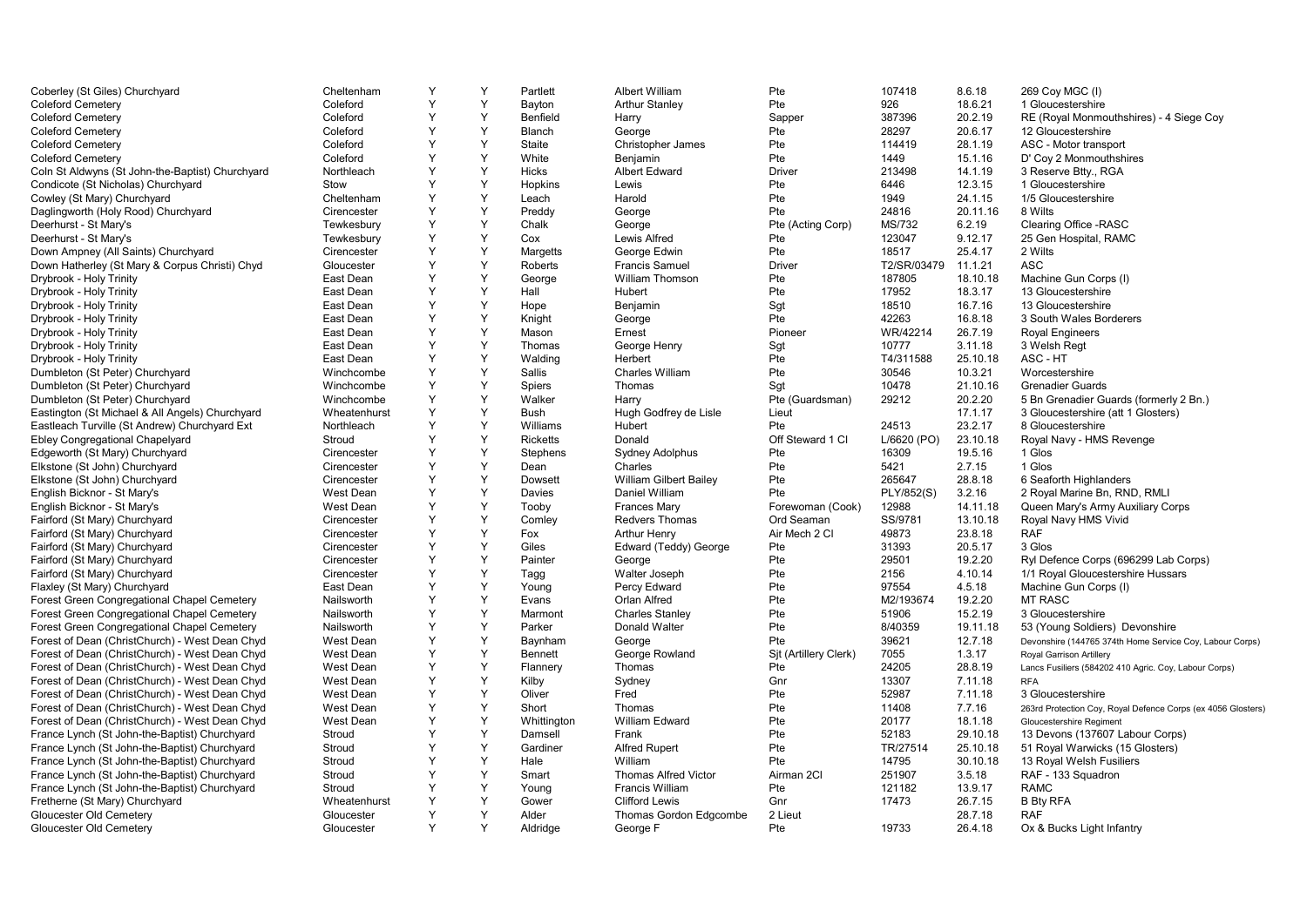| Coberley (St Giles) Churchyard                   | Cheltenham       | Y | Y | Partlett        | Albert William                | Pte                      | 107418      | 8.6.18   | 269 Coy MGC (I)                                              |
|--------------------------------------------------|------------------|---|---|-----------------|-------------------------------|--------------------------|-------------|----------|--------------------------------------------------------------|
| <b>Coleford Cemetery</b>                         | Coleford         | Y | Y | Bayton          | <b>Arthur Stanley</b>         | Pte                      | 926         | 18.6.21  | 1 Gloucestershire                                            |
| <b>Coleford Cemeterv</b>                         | Coleford         | Y | Y | Benfield        | Harry                         | Sapper                   | 387396      | 20.2.19  | RE (Royal Monmouthshires) - 4 Siege Coy                      |
| <b>Coleford Cemetery</b>                         | Coleford         | Y | Y | Blanch          | George                        | Pte                      | 28297       | 20.6.17  | 12 Gloucestershire                                           |
| <b>Coleford Cemetery</b>                         | Coleford         | Y | Y | Staite          | <b>Christopher James</b>      | Pte                      | 114419      | 28.1.19  | ASC - Motor transport                                        |
| <b>Coleford Cemetery</b>                         | Coleford         | Y | Y | White           | Benjamin                      | Pte                      | 1449        | 15.1.16  | D' Coy 2 Monmouthshires                                      |
| Coln St Aldwyns (St John-the-Baptist) Churchyard | Northleach       | Y | Y | <b>Hicks</b>    | <b>Albert Edward</b>          | <b>Driver</b>            | 213498      | 14.1.19  | 3 Reserve Btty., RGA                                         |
| Condicote (St Nicholas) Churchyard               | Stow             | Y | Y | Hopkins         | Lewis                         | Pte                      | 6446        | 12.3.15  | 1 Gloucestershire                                            |
| Cowley (St Mary) Churchyard                      | Cheltenham       | Υ | Y | Leach           | Harold                        | Pte                      | 1949        | 24.1.15  | 1/5 Gloucestershire                                          |
| Daglingworth (Holy Rood) Churchyard              | Cirencester      | Y | Y | Preddy          | George                        | Pte                      | 24816       | 20.11.16 | 8 Wilts                                                      |
|                                                  |                  | Υ | Y | Chalk           |                               |                          | MS/732      | 6.2.19   | Clearing Office - RASC                                       |
| Deerhurst - St Mary's                            | Tewkesbury       | Υ | Y |                 | George                        | Pte (Acting Corp)<br>Pte |             |          |                                                              |
| Deerhurst - St Mary's                            | Tewkesbury       | Y | Y | Cox             | Lewis Alfred                  |                          | 123047      | 9.12.17  | 25 Gen Hospital, RAMC                                        |
| Down Ampney (All Saints) Churchyard              | Cirencester      |   |   | Margetts        | George Edwin                  | Pte                      | 18517       | 25.4.17  | 2 Wilts                                                      |
| Down Hatherley (St Mary & Corpus Christi) Chyd   | Gloucester       | Y | Y | Roberts         | <b>Francis Samuel</b>         | <b>Driver</b>            | T2/SR/03479 | 11.1.21  | <b>ASC</b>                                                   |
| Drybrook - Holy Trinity                          | East Dean        | Υ | Y | George          | <b>William Thomson</b>        | Pte                      | 187805      | 18.10.18 | Machine Gun Corps (I)                                        |
| Drybrook - Holy Trinity                          | East Dean        | Y | Y | Hall            | Hubert                        | Pte                      | 17952       | 18.3.17  | 13 Gloucestershire                                           |
| Drybrook - Holy Trinity                          | East Dean        | Y | Y | Hope            | Benjamin                      | Sgt                      | 18510       | 16.7.16  | 13 Gloucestershire                                           |
| Drybrook - Holy Trinity                          | East Dean        | Υ | Y | Knight          | George                        | Pte                      | 42263       | 16.8.18  | 3 South Wales Borderers                                      |
| Drybrook - Holy Trinity                          | East Dean        | Y | Y | Mason           | Ernest                        | Pioneer                  | WR/42214    | 26.7.19  | <b>Royal Engineers</b>                                       |
| Drybrook - Holy Trinity                          | East Dean        | Y | Y | Thomas          | George Henry                  | Sgt                      | 10777       | 3.11.18  | 3 Welsh Regt                                                 |
| Drybrook - Holy Trinity                          | East Dean        | Υ | Y | Walding         | Herbert                       | Pte                      | T4/311588   | 25.10.18 | ASC - HT                                                     |
| Dumbleton (St Peter) Churchyard                  | Winchcombe       | Y | Y | Sallis          | <b>Charles William</b>        | Pte                      | 30546       | 10.3.21  | Worcestershire                                               |
| Dumbleton (St Peter) Churchyard                  | Winchcombe       | Y | Y | Spiers          | Thomas                        | Sgt                      | 10478       | 21.10.16 | <b>Grenadier Guards</b>                                      |
| Dumbleton (St Peter) Churchyard                  | Winchcombe       | Υ | Y | Walker          | Harry                         | Pte (Guardsman)          | 29212       | 20.2.20  | 5 Bn Grenadier Guards (formerly 2 Bn.)                       |
| Eastington (St Michael & All Angels) Churchyard  | Wheatenhurst     | Y | Y | Bush            | Hugh Godfrey de Lisle         | Lieut                    |             | 17.1.17  | 3 Gloucestershire (att 1 Glosters)                           |
| Eastleach Turville (St Andrew) Churchyard Ext    | Northleach       | Y | Y | Williams        | <b>Hubert</b>                 | Pte                      | 24513       | 23.2.17  | 8 Gloucestershire                                            |
| Ebley Congregational Chapelyard                  | Stroud           | Υ | Y | <b>Ricketts</b> | Donald                        | Off Steward 1 CI         | L/6620 (PO) | 23.10.18 | Royal Navy - HMS Revenge                                     |
| Edgeworth (St Mary) Churchyard                   | Cirencester      | Y | Y | Stephens        | Sydney Adolphus               | Pte                      | 16309       | 19.5.16  | 1 Glos                                                       |
| Elkstone (St John) Churchyard                    | Cirencester      | Υ | Y | Dean            | Charles                       | Pte                      | 5421        | 2.7.15   | 1 Glos                                                       |
| Elkstone (St John) Churchyard                    | Cirencester      | Υ | Y | Dowsett         | <b>William Gilbert Bailey</b> | Pte                      | 265647      | 28.8.18  | 6 Seaforth Highlanders                                       |
| English Bicknor - St Mary's                      | West Dean        | Y | Y | Davies          | Daniel William                | Pte                      | PLY/852(S)  | 3.2.16   | 2 Royal Marine Bn, RND, RMLI                                 |
| English Bicknor - St Mary's                      | <b>West Dean</b> | Υ | Y | Tooby           | <b>Frances Mary</b>           | Forewoman (Cook)         | 12988       | 14.11.18 | Queen Mary's Army Auxiliary Corps                            |
| Fairford (St Mary) Churchyard                    | Cirencester      | Υ | Y | Comley          | <b>Redvers Thomas</b>         | Ord Seaman               | SS/9781     | 13.10.18 | Royal Navy HMS Vivid                                         |
| Fairford (St Mary) Churchyard                    | Cirencester      | Y | Y | Fox             | <b>Arthur Henry</b>           | Air Mech 2 Cl            | 49873       | 23.8.18  | <b>RAF</b>                                                   |
| Fairford (St Mary) Churchyard                    | Cirencester      | Υ | Y | Giles           | Edward (Teddy) George         | Pte                      | 31393       | 20.5.17  | 3 Glos                                                       |
| Fairford (St Mary) Churchyard                    | Cirencester      | Υ | Y | Painter         | George                        | Pte                      | 29501       | 19.2.20  | Ryl Defence Corps (696299 Lab Corps)                         |
| Fairford (St Mary) Churchyard                    | Cirencester      | Y | Y | Tagg            | Walter Joseph                 | Pte                      | 2156        | 4.10.14  | 1/1 Royal Gloucestershire Hussars                            |
| Flaxley (St Mary) Churchyard                     | East Dean        | Y | Y | Young           | Percy Edward                  | Pte                      | 97554       | 4.5.18   | Machine Gun Corps (I)                                        |
| Forest Green Congregational Chapel Cemetery      | Nailsworth       | Υ | Y | Evans           | Orlan Alfred                  | Pte                      | M2/193674   | 19.2.20  | <b>MT RASC</b>                                               |
| Forest Green Congregational Chapel Cemetery      | Nailsworth       | Y | Y | Marmont         | <b>Charles Stanley</b>        | Pte                      | 51906       | 15.2.19  | 3 Gloucestershire                                            |
| Forest Green Congregational Chapel Cemetery      | Nailsworth       | Υ | Y | Parker          | Donald Walter                 | Pte                      | 8/40359     | 19.11.18 |                                                              |
|                                                  |                  | Υ | Y |                 |                               |                          | 39621       | 12.7.18  | 53 (Young Soldiers) Devonshire                               |
| Forest of Dean (ChristChurch) - West Dean Chyd   | <b>West Dean</b> | Y | Y | Baynham         | George                        | Pte                      | 7055        | 1.3.17   | Devonshire (144765 374th Home Service Coy, Labour Corps)     |
| Forest of Dean (ChristChurch) - West Dean Chyd   | West Dean        |   |   | Bennett         | George Rowland                | Sjt (Artillery Clerk)    |             |          | <b>Royal Garrison Artillery</b>                              |
| Forest of Dean (ChristChurch) - West Dean Chyd   | <b>West Dean</b> | Υ | Y | Flannery        | Thomas                        | Pte                      | 24205       | 28.8.19  | Lancs Fusiliers (584202 410 Agric. Coy, Labour Corps)        |
| Forest of Dean (ChristChurch) - West Dean Chyd   | West Dean        | Υ | Y | Kilby           | Sydney                        | Gnr                      | 13307       | 7.11.18  | <b>RFA</b>                                                   |
| Forest of Dean (ChristChurch) - West Dean Chyd   | West Dean        | Y | Y | Oliver          | Fred                          | Pte                      | 52987       | 7.11.18  | 3 Gloucestershire                                            |
| Forest of Dean (ChristChurch) - West Dean Chyd   | West Dean        | Υ | Y | Short           | Thomas                        | Pte                      | 11408       | 7.7.16   | 263rd Protection Coy, Royal Defence Corps (ex 4056 Glosters) |
| Forest of Dean (ChristChurch) - West Dean Chyd   | West Dean        | Y | Y | Whittington     | William Edward                | Pte                      | 20177       | 18.1.18  | Gloucestershire Regiment                                     |
| France Lynch (St John-the-Baptist) Churchyard    | Stroud           | Y | Y | Damsell         | Frank                         | Pte                      | 52183       | 29.10.18 | 13 Devons (137607 Labour Corps)                              |
| France Lynch (St John-the-Baptist) Churchyard    | Stroud           | Y | Y | Gardiner        | <b>Alfred Rupert</b>          | Pte                      | TR/27514    | 25.10.18 | 51 Royal Warwicks (15 Glosters)                              |
| France Lynch (St John-the-Baptist) Churchyard    | Stroud           | Y | Y | Hale            | William                       | Pte                      | 14795       | 30.10.18 | 13 Royal Welsh Fusiliers                                     |
| France Lynch (St John-the-Baptist) Churchyard    | Stroud           | Υ | Y | Smart           | <b>Thomas Alfred Victor</b>   | Airman 2Cl               | 251907      | 3.5.18   | RAF - 133 Squadron                                           |
| France Lynch (St John-the-Baptist) Churchyard    | Stroud           | Υ | Y | Young           | <b>Francis William</b>        | Pte                      | 121182      | 13.9.17  | <b>RAMC</b>                                                  |
| Fretherne (St Mary) Churchyard                   | Wheatenhurst     | Y | Y | Gower           | <b>Clifford Lewis</b>         | Gnr                      | 17473       | 26.7.15  | <b>B Bty RFA</b>                                             |
| Gloucester Old Cemetery                          | Gloucester       | Y | Y | Alder           | Thomas Gordon Edgcombe        | 2 Lieut                  |             | 28.7.18  | <b>RAF</b>                                                   |
| Gloucester Old Cemetery                          | Gloucester       | Y | Y | Aldridae        | George F                      | Pte                      | 19733       | 26.4.18  | Ox & Bucks Light Infantry                                    |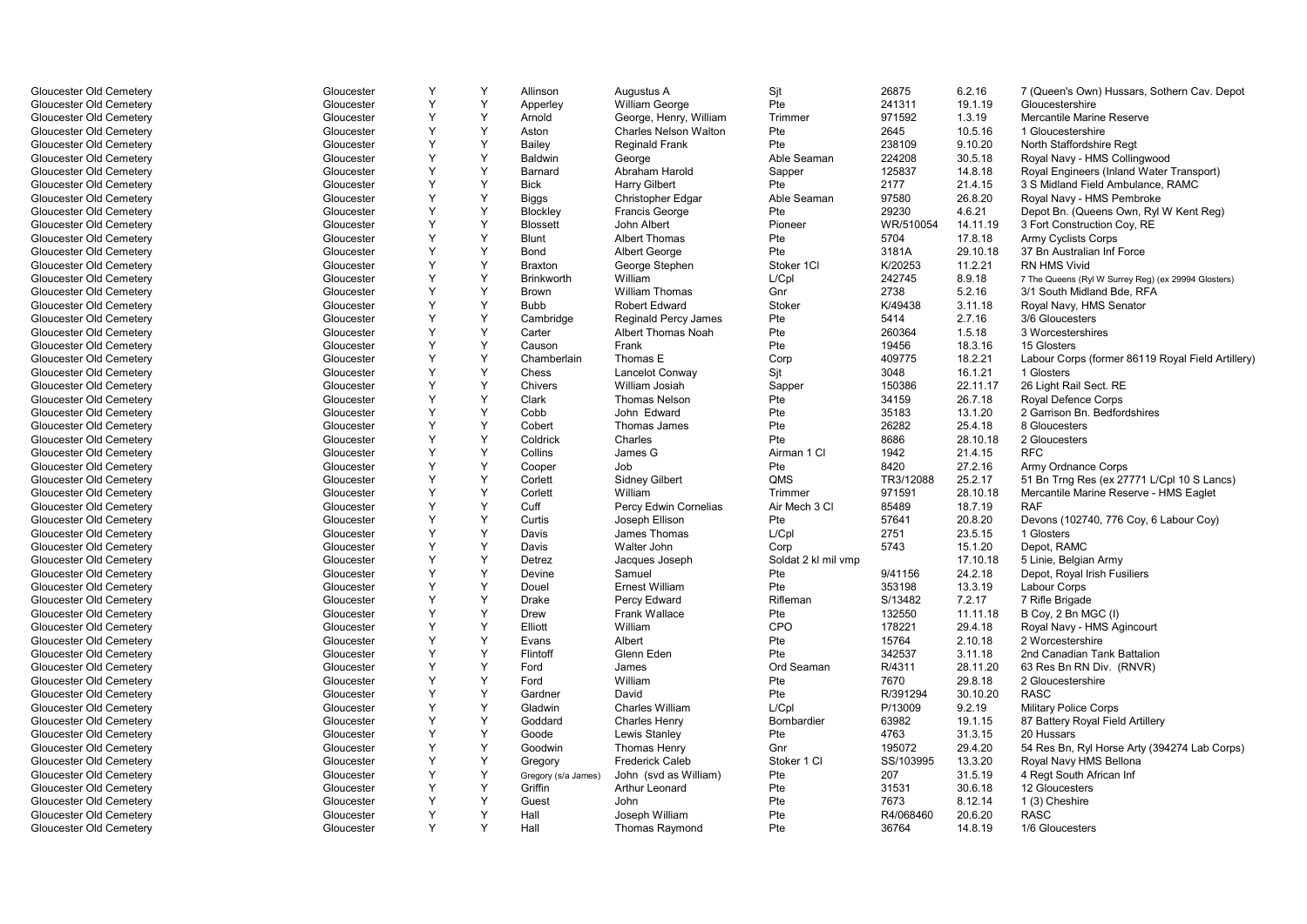| Gloucester Old Cemetery | Gloucester | Y | Y | Allinson            | Augustus A                  | Sjt                 | 26875     | 6.2.16   | 7 (Queen's Own) Hussars, Sothern Cav. Depot         |
|-------------------------|------------|---|---|---------------------|-----------------------------|---------------------|-----------|----------|-----------------------------------------------------|
| Gloucester Old Cemetery | Gloucester | Y | Y | Apperley            | <b>William George</b>       | Pte                 | 241311    | 19.1.19  | Gloucestershire                                     |
| Gloucester Old Cemetery | Gloucester | Y | Y | Arnold              | George, Henry, William      | Trimmer             | 971592    | 1.3.19   | Mercantile Marine Reserve                           |
| Gloucester Old Cemetery | Gloucester | Y | Y | Aston               | Charles Nelson Walton       | Pte                 | 2645      | 10.5.16  | 1 Gloucestershire                                   |
| Gloucester Old Cemetery | Gloucester | Y | Y | Bailey              | <b>Reginald Frank</b>       | Pte                 | 238109    | 9.10.20  | North Staffordshire Regt                            |
| Gloucester Old Cemetery | Gloucester | Y | Y | <b>Baldwin</b>      | George                      | Able Seaman         | 224208    | 30.5.18  | Royal Navy - HMS Collingwood                        |
| Gloucester Old Cemetery | Gloucester | Y | Y | Barnard             | Abraham Harold              | Sapper              | 125837    | 14.8.18  | Royal Engineers (Inland Water Transport)            |
| Gloucester Old Cemetery | Gloucester | Y | Y | <b>Bick</b>         | <b>Harry Gilbert</b>        | Pte                 | 2177      | 21.4.15  | 3 S Midland Field Ambulance, RAMC                   |
| Gloucester Old Cemetery | Gloucester | Y | Y | <b>Biggs</b>        | Christopher Edgar           | Able Seaman         | 97580     | 26.8.20  | Royal Navy - HMS Pembroke                           |
| Gloucester Old Cemetery | Gloucester | Y | Y | Blockley            | <b>Francis George</b>       | Pte                 | 29230     | 4.6.21   | Depot Bn. (Queens Own, Ryl W Kent Reg)              |
| Gloucester Old Cemetery | Gloucester | Y | Y | <b>Blossett</b>     | John Albert                 | Pioneer             | WR/510054 | 14.11.19 | 3 Fort Construction Coy, RE                         |
| Gloucester Old Cemetery | Gloucester | Y | Y | <b>Blunt</b>        | <b>Albert Thomas</b>        | Pte                 | 5704      | 17.8.18  | Army Cyclists Corps                                 |
| Gloucester Old Cemetery | Gloucester | Y | Y | Bond                | Albert George               | Pte                 | 3181A     | 29.10.18 | 37 Bn Australian Inf Force                          |
| Gloucester Old Cemetery | Gloucester | Y | Y | <b>Braxton</b>      | George Stephen              | Stoker 1CI          | K/20253   | 11.2.21  | <b>RN HMS Vivid</b>                                 |
| Gloucester Old Cemetery | Gloucester | Y | Y | <b>Brinkworth</b>   | William                     | L/Cpl               | 242745    | 8.9.18   | 7 The Queens (Ryl W Surrey Reg) (ex 29994 Glosters) |
| Gloucester Old Cemetery | Gloucester | Y | Y | <b>Brown</b>        | <b>William Thomas</b>       | Gnr                 | 2738      | 5.2.16   | 3/1 South Midland Bde, RFA                          |
| Gloucester Old Cemetery | Gloucester | Y | Y | <b>Bubb</b>         | <b>Robert Edward</b>        | Stoker              | K/49438   | 3.11.18  | Royal Navy, HMS Senator                             |
| Gloucester Old Cemetery | Gloucester | Y | Y | Cambridge           | <b>Reginald Percy James</b> | Pte                 | 5414      | 2.7.16   | 3/6 Gloucesters                                     |
| Gloucester Old Cemetery | Gloucester | Y | Y | Carter              | Albert Thomas Noah          | Pte                 | 260364    | 1.5.18   | 3 Worcestershires                                   |
| Gloucester Old Cemetery | Gloucester | Y | Y | Causon              | Frank                       | Pte                 | 19456     | 18.3.16  | 15 Glosters                                         |
| Gloucester Old Cemetery | Gloucester | Y | Y | Chamberlain         | Thomas E                    | Corp                | 409775    | 18.2.21  | Labour Corps (former 86119 Royal Field Artillery)   |
| Gloucester Old Cemetery | Gloucester | Y | Y | Chess               | Lancelot Conway             | Sit                 | 3048      | 16.1.21  | 1 Glosters                                          |
| Gloucester Old Cemetery | Gloucester | Y | Y | Chivers             | William Josiah              | Sapper              | 150386    | 22.11.17 | 26 Light Rail Sect. RE                              |
| Gloucester Old Cemetery | Gloucester | Y | Y | Clark               | <b>Thomas Nelson</b>        | Pte                 | 34159     | 26.7.18  | <b>Royal Defence Corps</b>                          |
| Gloucester Old Cemetery | Gloucester | Y | Y | Cobb                | John Edward                 | Pte                 | 35183     | 13.1.20  | 2 Garrison Bn. Bedfordshires                        |
| Gloucester Old Cemetery | Gloucester | Y | Y | Cobert              | Thomas James                | Pte                 | 26282     | 25.4.18  | 8 Gloucesters                                       |
| Gloucester Old Cemetery | Gloucester | Y | Y | Coldrick            | Charles                     | Pte                 | 8686      | 28.10.18 | 2 Gloucesters                                       |
| Gloucester Old Cemetery | Gloucester | Y | Y | Collins             | James G                     | Airman 1 Cl         | 1942      | 21.4.15  | <b>RFC</b>                                          |
| Gloucester Old Cemetery | Gloucester | Y | Y | Cooper              | Job                         | Pte                 | 8420      | 27.2.16  | Army Ordnance Corps                                 |
| Gloucester Old Cemetery | Gloucester | Y | Y | Corlett             | <b>Sidney Gilbert</b>       | QMS                 | TR3/12088 | 25.2.17  | 51 Bn Trng Res (ex 27771 L/Cpl 10 S Lancs)          |
| Gloucester Old Cemetery | Gloucester | Y | Y | Corlett             | William                     | Trimmer             | 971591    | 28.10.18 | Mercantile Marine Reserve - HMS Eaglet              |
| Gloucester Old Cemetery | Gloucester | Y | Y | Cuff                | Percy Edwin Cornelias       | Air Mech 3 Cl       | 85489     | 18.7.19  | <b>RAF</b>                                          |
| Gloucester Old Cemetery | Gloucester | Y | Y | Curtis              | Joseph Ellison              | Pte                 | 57641     | 20.8.20  | Devons (102740, 776 Coy, 6 Labour Coy)              |
| Gloucester Old Cemetery | Gloucester | Y | Y | Davis               | James Thomas                | L/Cpl               | 2751      | 23.5.15  | 1 Glosters                                          |
| Gloucester Old Cemetery | Gloucester | Y | Y | Davis               | Walter John                 | Corp                | 5743      | 15.1.20  | Depot. RAMC                                         |
| Gloucester Old Cemetery | Gloucester | Y | Y | Detrez              | Jacques Joseph              | Soldat 2 kl mil vmp |           | 17.10.18 | 5 Linie, Belgian Army                               |
| Gloucester Old Cemetery | Gloucester | Y | Y | Devine              | Samuel                      | Pte                 | 9/41156   | 24.2.18  | Depot, Royal Irish Fusiliers                        |
| Gloucester Old Cemetery | Gloucester | Y | Y | Douel               | <b>Ernest William</b>       | Pte                 | 353198    | 13.3.19  | Labour Corps                                        |
| Gloucester Old Cemetery | Gloucester | Y | Y | <b>Drake</b>        | Percy Edward                | Rifleman            | S/13482   | 7.2.17   | 7 Rifle Brigade                                     |
| Gloucester Old Cemetery | Gloucester | Y | Y | <b>Drew</b>         | Frank Wallace               | Pte                 | 132550    | 11.11.18 | B Coy, 2 Bn MGC (I)                                 |
| Gloucester Old Cemetery | Gloucester | Y | Y | Elliott             | William                     | CPO                 | 178221    | 29.4.18  | Royal Navy - HMS Agincourt                          |
| Gloucester Old Cemetery | Gloucester | Y | Y | Evans               | Albert                      | Pte                 | 15764     | 2.10.18  | 2 Worcestershire                                    |
| Gloucester Old Cemetery | Gloucester | Y | Y | Flintoff            | Glenn Eden                  | Pte                 | 342537    | 3.11.18  | 2nd Canadian Tank Battalion                         |
| Gloucester Old Cemetery | Gloucester | Y | Y | Ford                | James                       | Ord Seaman          | R/4311    | 28.11.20 | 63 Res Bn RN Div. (RNVR)                            |
| Gloucester Old Cemetery | Gloucester | Y | Y | Ford                | William                     | Pte                 | 7670      | 29.8.18  | 2 Gloucestershire                                   |
| Gloucester Old Cemetery | Gloucester | Y | Y | Gardner             | David                       | Pte                 | R/391294  | 30.10.20 | <b>RASC</b>                                         |
| Gloucester Old Cemetery | Gloucester | Y | Y | Gladwin             | <b>Charles William</b>      | L/Cpl               | P/13009   | 9.2.19   | <b>Military Police Corps</b>                        |
| Gloucester Old Cemetery | Gloucester | Y | Y | Goddard             | <b>Charles Henry</b>        | Bombardier          | 63982     | 19.1.15  | 87 Battery Royal Field Artillery                    |
| Gloucester Old Cemetery | Gloucester | Y | Y | Goode               | Lewis Stanley               | Pte                 | 4763      | 31.3.15  | 20 Hussars                                          |
| Gloucester Old Cemetery | Gloucester | Y | Y | Goodwin             | Thomas Henry                | Gnr                 | 195072    | 29.4.20  | 54 Res Bn, Ryl Horse Arty (394274 Lab Corps)        |
| Gloucester Old Cemetery | Gloucester | Y | Y | Gregory             | <b>Frederick Caleb</b>      | Stoker 1 Cl         | SS/103995 | 13.3.20  | Royal Navy HMS Bellona                              |
| Gloucester Old Cemetery | Gloucester | Y | Y | Gregory (s/a James) | John (svd as William)       | Pte                 | 207       | 31.5.19  | 4 Regt South African Inf                            |
| Gloucester Old Cemetery | Gloucester | Y | Y | Griffin             | Arthur Leonard              | Pte                 | 31531     | 30.6.18  | 12 Gloucesters                                      |
| Gloucester Old Cemetery | Gloucester | Y | Y | Guest               | John                        | Pte                 | 7673      | 8.12.14  | 1 (3) Cheshire                                      |
| Gloucester Old Cemetery | Gloucester | Y | Y | Hall                | Joseph William              | Pte                 | R4/068460 | 20.6.20  | <b>RASC</b>                                         |
| Gloucester Old Cemetery | Gloucester | Y | Y | Hall                | <b>Thomas Raymond</b>       | Pte                 | 36764     | 14.8.19  | 1/6 Gloucesters                                     |
|                         |            |   |   |                     |                             |                     |           |          |                                                     |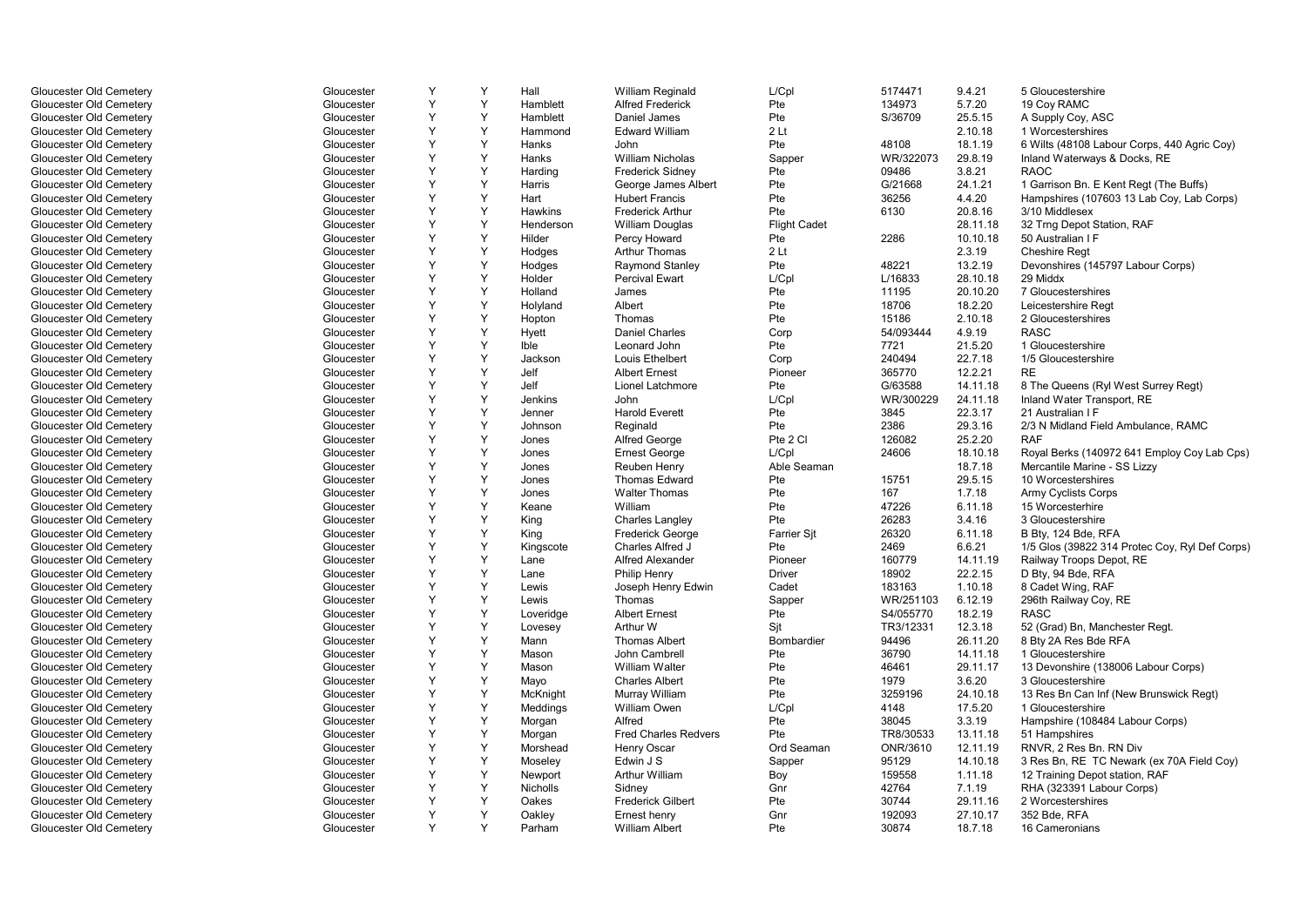| Gloucester Old Cemetery | Gloucester | Y | Y | Hall      | William Reginald            | L/Cpl               | 5174471   | 9.4.21   | 5 Gloucestershire                              |
|-------------------------|------------|---|---|-----------|-----------------------------|---------------------|-----------|----------|------------------------------------------------|
| Gloucester Old Cemetery | Gloucester | Y | Y | Hamblett  | <b>Alfred Frederick</b>     | Pte                 | 134973    | 5.7.20   | 19 Coy RAMC                                    |
| Gloucester Old Cemetery | Gloucester | Y | Y | Hamblett  | Daniel James                | Pte                 | S/36709   | 25.5.15  | A Supply Coy, ASC                              |
| Gloucester Old Cemetery | Gloucester | Y | Y | Hammond   | <b>Edward William</b>       | 2Lt                 |           | 2.10.18  | 1 Worcestershires                              |
| Gloucester Old Cemetery | Gloucester | Y | Y | Hanks     | John                        | Pte                 | 48108     | 18.1.19  | 6 Wilts (48108 Labour Corps, 440 Agric Coy)    |
| Gloucester Old Cemetery | Gloucester | Y | Y | Hanks     | <b>William Nicholas</b>     | Sapper              | WR/322073 | 29.8.19  | Inland Waterways & Docks, RE                   |
| Gloucester Old Cemetery | Gloucester | Y | Y | Harding   | <b>Frederick Sidney</b>     | Pte                 | 09486     | 3.8.21   | <b>RAOC</b>                                    |
| Gloucester Old Cemetery | Gloucester | Υ | Y | Harris    | George James Albert         | Pte                 | G/21668   | 24.1.21  | 1 Garrison Bn. E Kent Regt (The Buffs)         |
| Gloucester Old Cemetery | Gloucester | Y | Y | Hart      | <b>Hubert Francis</b>       | Pte                 | 36256     | 4.4.20   | Hampshires (107603 13 Lab Coy, Lab Corps)      |
| Gloucester Old Cemetery | Gloucester | Y | Y | Hawkins   | <b>Frederick Arthur</b>     | Pte                 | 6130      | 20.8.16  | 3/10 Middlesex                                 |
| Gloucester Old Cemetery | Gloucester | Y | Y | Henderson | <b>William Douglas</b>      | <b>Flight Cadet</b> |           | 28.11.18 | 32 Trng Depot Station, RAF                     |
| Gloucester Old Cemetery | Gloucester | Y | Y | Hilder    | Percy Howard                | Pte                 | 2286      | 10.10.18 | 50 Australian I F                              |
| Gloucester Old Cemetery | Gloucester | Y | Y | Hodges    | <b>Arthur Thomas</b>        | 2 <sub>lt</sub>     |           | 2.3.19   | <b>Cheshire Regt</b>                           |
| Gloucester Old Cemetery | Gloucester | Υ | Y | Hodges    | Raymond Stanley             | Pte                 | 48221     | 13.2.19  | Devonshires (145797 Labour Corps)              |
| Gloucester Old Cemetery | Gloucester | Y | Y | Holder    | <b>Percival Ewart</b>       | L/Cpl               | L/16833   | 28.10.18 | 29 Middx                                       |
| Gloucester Old Cemetery | Gloucester | Y | Y | Holland   | James                       | Pte                 | 11195     | 20.10.20 | 7 Gloucestershires                             |
| Gloucester Old Cemetery | Gloucester | Υ | Y | Holyland  | Albert                      | Pte                 | 18706     | 18.2.20  | Leicestershire Regt                            |
| Gloucester Old Cemetery | Gloucester | Υ | Y | Hopton    | Thomas                      | Pte                 | 15186     | 2.10.18  | 2 Gloucestershires                             |
| Gloucester Old Cemetery | Gloucester | Y | Y | Hyett     | <b>Daniel Charles</b>       | Corp                | 54/093444 | 4.9.19   | <b>RASC</b>                                    |
| Gloucester Old Cemetery | Gloucester | Y | Y | Ible      | Leonard John                | Pte                 | 7721      | 21.5.20  | 1 Gloucestershire                              |
| Gloucester Old Cemetery | Gloucester | Y | Y | Jackson   | Louis Ethelbert             | Corp                | 240494    | 22.7.18  | 1/5 Gloucestershire                            |
| Gloucester Old Cemetery | Gloucester | Y | Y | Jelf      | <b>Albert Ernest</b>        | Pioneer             | 365770    | 12.2.21  | <b>RE</b>                                      |
| Gloucester Old Cemetery | Gloucester | Y | Y | Jelf      | <b>Lionel Latchmore</b>     | Pte                 | G/63588   | 14.11.18 | 8 The Queens (Ryl West Surrey Regt)            |
| Gloucester Old Cemetery | Gloucester | Y | Y | Jenkins   | <b>John</b>                 | L/Cpl               | WR/300229 | 24.11.18 | Inland Water Transport, RE                     |
| Gloucester Old Cemetery | Gloucester | Y | Y | Jenner    | <b>Harold Everett</b>       | Pte                 | 3845      | 22.3.17  | 21 Australian I F                              |
| Gloucester Old Cemetery | Gloucester | Y | Y | Johnson   | Reginald                    | Pte                 | 2386      | 29.3.16  | 2/3 N Midland Field Ambulance, RAMC            |
| Gloucester Old Cemetery | Gloucester | Υ | Y | Jones     | Alfred George               | Pte 2 Cl            | 126082    | 25.2.20  | <b>RAF</b>                                     |
| Gloucester Old Cemetery | Gloucester | Y | Y | Jones     | <b>Ernest George</b>        | L/Cpl               | 24606     | 18.10.18 | Royal Berks (140972 641 Employ Coy Lab Cps)    |
| Gloucester Old Cemetery | Gloucester | Y | Y | Jones     | Reuben Henry                | Able Seaman         |           | 18.7.18  | Mercantile Marine - SS Lizzy                   |
| Gloucester Old Cemetery | Gloucester | Y | Y | Jones     | <b>Thomas Edward</b>        | Pte                 | 15751     | 29.5.15  | 10 Worcestershires                             |
| Gloucester Old Cemetery | Gloucester | Υ | Y | Jones     | <b>Walter Thomas</b>        | Pte                 | 167       | 1.7.18   | <b>Army Cyclists Corps</b>                     |
| Gloucester Old Cemetery | Gloucester | Y | Y | Keane     | William                     | Pte                 | 47226     | 6.11.18  | 15 Worcesterhire                               |
| Gloucester Old Cemetery | Gloucester | Y | Y | King      | <b>Charles Langley</b>      | Pte                 | 26283     | 3.4.16   | 3 Gloucestershire                              |
| Gloucester Old Cemetery | Gloucester | Y | Y | King      | <b>Frederick George</b>     | <b>Farrier Sit</b>  | 26320     | 6.11.18  | B Bty, 124 Bde, RFA                            |
| Gloucester Old Cemetery | Gloucester | Y | Y | Kingscote | <b>Charles Alfred J</b>     | Pte                 | 2469      | 6.6.21   | 1/5 Glos (39822 314 Protec Coy, Ryl Def Corps) |
| Gloucester Old Cemetery | Gloucester | Υ | Y | Lane      | Alfred Alexander            | Pioneer             | 160779    | 14.11.19 | Railway Troops Depot, RE                       |
| Gloucester Old Cemetery | Gloucester | Y | Y | Lane      | Philip Henry                | Driver              | 18902     | 22.2.15  | D Bty, 94 Bde, RFA                             |
| Gloucester Old Cemetery | Gloucester | Y | Y | Lewis     | Joseph Henry Edwin          | Cadet               | 183163    | 1.10.18  | 8 Cadet Wing, RAF                              |
| Gloucester Old Cemetery | Gloucester | Υ | Y | Lewis     | Thomas                      | Sapper              | WR/251103 | 6.12.19  | 296th Railway Coy, RE                          |
| Gloucester Old Cemetery | Gloucester | Υ | Y | Loveridge | <b>Albert Ernest</b>        | Pte                 | S4/055770 | 18.2.19  | <b>RASC</b>                                    |
| Gloucester Old Cemetery | Gloucester | Y | Y | Lovesey   | Arthur W                    | Sit                 | TR3/12331 | 12.3.18  | 52 (Grad) Bn, Manchester Regt.                 |
| Gloucester Old Cemetery | Gloucester | Y | Y | Mann      | <b>Thomas Albert</b>        | Bombardier          | 94496     | 26.11.20 | 8 Bty 2A Res Bde RFA                           |
| Gloucester Old Cemetery | Gloucester | Y | Y | Mason     | John Cambrell               | Pte                 | 36790     | 14.11.18 | 1 Gloucestershire                              |
| Gloucester Old Cemetery | Gloucester | Y | Y | Mason     | William Walter              | Pte                 | 46461     | 29.11.17 | 13 Devonshire (138006 Labour Corps)            |
| Gloucester Old Cemetery | Gloucester | Y | Y | Mayo      | <b>Charles Albert</b>       | Pte                 | 1979      | 3.6.20   | 3 Gloucestershire                              |
| Gloucester Old Cemetery | Gloucester | Y | Y | McKnight  | Murray William              | Pte                 | 3259196   | 24.10.18 | 13 Res Bn Can Inf (New Brunswick Regt)         |
| Gloucester Old Cemetery | Gloucester | Y | Y | Meddings  | William Owen                | L/Cpl               | 4148      | 17.5.20  | 1 Gloucestershire                              |
| Gloucester Old Cemetery | Gloucester | Y | Y | Morgan    | Alfred                      | Pte                 | 38045     | 3.3.19   | Hampshire (108484 Labour Corps)                |
| Gloucester Old Cemetery | Gloucester | Υ | Y | Morgan    | <b>Fred Charles Redvers</b> | Pte                 | TR8/30533 | 13.11.18 | 51 Hampshires                                  |
| Gloucester Old Cemetery | Gloucester | Y | Y | Morshead  | Henry Oscar                 | Ord Seaman          | ONR/3610  | 12.11.19 | RNVR. 2 Res Bn. RN Div                         |
| Gloucester Old Cemetery | Gloucester | Y | Y | Moseley   | Edwin J S                   | Sapper              | 95129     | 14.10.18 | 3 Res Bn, RE TC Newark (ex 70A Field Coy)      |
| Gloucester Old Cemetery | Gloucester | Υ | Y | Newport   | Arthur William              | Boy                 | 159558    | 1.11.18  | 12 Training Depot station, RAF                 |
| Gloucester Old Cemetery | Gloucester | Y | Y | Nicholls  | Sidney                      | Gnr                 | 42764     | 7.1.19   | RHA (323391 Labour Corps)                      |
| Gloucester Old Cemetery | Gloucester | Y | Y | Oakes     | <b>Frederick Gilbert</b>    | Pte                 | 30744     | 29.11.16 | 2 Worcestershires                              |
| Gloucester Old Cemetery | Gloucester | Y | Y | Oakley    | Ernest henry                | Gnr                 | 192093    | 27.10.17 | 352 Bde, RFA                                   |
| Gloucester Old Cemetery | Gloucester | Y | Y | Parham    | <b>William Albert</b>       | Pte                 | 30874     | 18.7.18  | 16 Cameronians                                 |
|                         |            |   |   |           |                             |                     |           |          |                                                |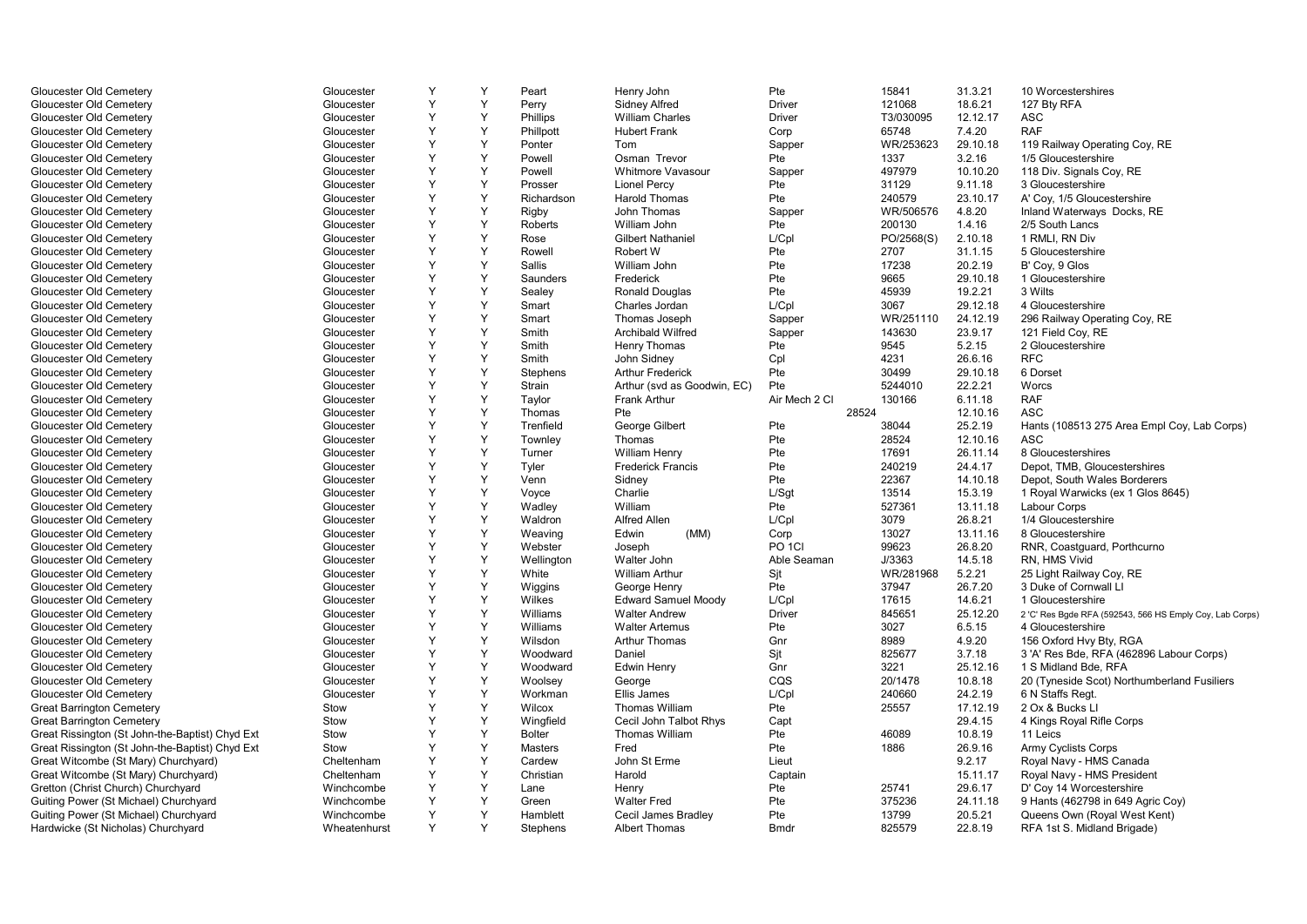| Gloucester Old Cemetery                         | Gloucester   | Y | Y | Peart         | Henry John                  | Pte               | 15841      | 31.3.21  | 10 Worcestershires                                       |
|-------------------------------------------------|--------------|---|---|---------------|-----------------------------|-------------------|------------|----------|----------------------------------------------------------|
| Gloucester Old Cemetery                         | Gloucester   | Y | Y | Perry         | <b>Sidney Alfred</b>        | <b>Driver</b>     | 121068     | 18.6.21  | 127 Bty RFA                                              |
| Gloucester Old Cemetery                         | Gloucester   | Y | Y | Phillips      | <b>William Charles</b>      | <b>Driver</b>     | T3/030095  | 12.12.17 | <b>ASC</b>                                               |
| Gloucester Old Cemetery                         | Gloucester   | Y | Y | Phillpott     | <b>Hubert Frank</b>         | Corp              | 65748      | 7.4.20   | <b>RAF</b>                                               |
| Gloucester Old Cemetery                         | Gloucester   | Υ | Y | Ponter        | Tom                         | Sapper            | WR/253623  | 29.10.18 | 119 Railway Operating Coy, RE                            |
| Gloucester Old Cemetery                         | Gloucester   | Y | Y | Powell        | Osman Trevor                | Pte               | 1337       | 3.2.16   | 1/5 Gloucestershire                                      |
| Gloucester Old Cemetery                         | Gloucester   | Y | Y | Powell        | Whitmore Vavasour           | Sapper            | 497979     | 10.10.20 | 118 Div. Signals Coy, RE                                 |
| Gloucester Old Cemetery                         | Gloucester   | Y | Y | Prosser       | <b>Lionel Percy</b>         | Pte               | 31129      | 9.11.18  | 3 Gloucestershire                                        |
| Gloucester Old Cemetery                         | Gloucester   | Y | Y | Richardson    | <b>Harold Thomas</b>        | Pte               | 240579     | 23.10.17 | A' Coy, 1/5 Gloucestershire                              |
| Gloucester Old Cemetery                         | Gloucester   | Y | Y | Rigby         | <b>John Thomas</b>          | Sapper            | WR/506576  | 4.8.20   | Inland Waterways Docks, RE                               |
| Gloucester Old Cemetery                         | Gloucester   | Υ | Υ | Roberts       | William John                | Pte               | 200130     | 1.4.16   | 2/5 South Lancs                                          |
| Gloucester Old Cemetery                         | Gloucester   | Y | Y | Rose          | <b>Gilbert Nathaniel</b>    | L/Cpl             | PO/2568(S) | 2.10.18  | 1 RMLI, RN Div                                           |
| Gloucester Old Cemetery                         | Gloucester   | Y | Y | Rowell        | Robert W                    | Pte               | 2707       | 31.1.15  | 5 Gloucestershire                                        |
| Gloucester Old Cemetery                         | Gloucester   | Y | Y | <b>Sallis</b> | William John                | Pte               | 17238      | 20.2.19  | B' Coy, 9 Glos                                           |
| Gloucester Old Cemetery                         | Gloucester   | Y | Y | Saunders      | Frederick                   | Pte               | 9665       | 29.10.18 | 1 Gloucestershire                                        |
| Gloucester Old Cemetery                         | Gloucester   | Y | Y | Sealey        | Ronald Douglas              | Pte               | 45939      | 19.2.21  | 3 Wilts                                                  |
| Gloucester Old Cemetery                         | Gloucester   | Y | Y | Smart         | Charles Jordan              | L/Cpl             | 3067       | 29.12.18 | 4 Gloucestershire                                        |
| Gloucester Old Cemetery                         | Gloucester   | Y | Y | Smart         | Thomas Joseph               | Sapper            | WR/251110  | 24.12.19 | 296 Railway Operating Coy, RE                            |
| Gloucester Old Cemetery                         | Gloucester   | Y | Y | Smith         | <b>Archibald Wilfred</b>    | Sapper            | 143630     | 23.9.17  | 121 Field Coy, RE                                        |
| Gloucester Old Cemetery                         | Gloucester   | Y | Y | Smith         | Henry Thomas                | Pte               | 9545       | 5.2.15   | 2 Gloucestershire                                        |
| Gloucester Old Cemetery                         | Gloucester   | Y | Y | Smith         | John Sidney                 | Cpl               | 4231       | 26.6.16  | <b>RFC</b>                                               |
| Gloucester Old Cemetery                         | Gloucester   | Y | Y | Stephens      | <b>Arthur Frederick</b>     | Pte               | 30499      | 29.10.18 | 6 Dorset                                                 |
| Gloucester Old Cemetery                         | Gloucester   | Y | Y | Strain        | Arthur (svd as Goodwin, EC) | Pte               | 5244010    | 22.2.21  | Worcs                                                    |
| Gloucester Old Cemetery                         | Gloucester   | Y | Y | Taylor        | <b>Frank Arthur</b>         | Air Mech 2 Cl     | 130166     | 6.11.18  | <b>RAF</b>                                               |
| Gloucester Old Cemetery                         | Gloucester   | Y | Y | Thomas        | Pte                         |                   | 28524      | 12.10.16 | <b>ASC</b>                                               |
| Gloucester Old Cemetery                         | Gloucester   | Y | Y | Trenfield     | George Gilbert              | Pte               | 38044      | 25.2.19  | Hants (108513 275 Area Empl Coy, Lab Corps)              |
| Gloucester Old Cemetery                         | Gloucester   | Y | Y | Townley       | Thomas                      | Pte               | 28524      | 12.10.16 | ASC                                                      |
| Gloucester Old Cemetery                         | Gloucester   | Y | Y | Turner        | <b>William Henry</b>        | Pte               | 17691      | 26.11.14 | 8 Gloucestershires                                       |
| Gloucester Old Cemetery                         | Gloucester   | Y | Y | Tyler         | <b>Frederick Francis</b>    | Pte               | 240219     | 24.4.17  | Depot, TMB, Gloucestershires                             |
| Gloucester Old Cemetery                         | Gloucester   | Y | Y | Venn          | Sidney                      | Pte               | 22367      | 14.10.18 | Depot, South Wales Borderers                             |
| Gloucester Old Cemetery                         | Gloucester   | Y | Y | Voyce         | Charlie                     | L/Sqt             | 13514      | 15.3.19  | 1 Royal Warwicks (ex 1 Glos 8645)                        |
| Gloucester Old Cemetery                         | Gloucester   | Y | Y | Wadley        | William                     | Pte               | 527361     | 13.11.18 | Labour Corps                                             |
| Gloucester Old Cemetery                         | Gloucester   | Y | Y | Waldron       | Alfred Allen                | L/Cpl             | 3079       | 26.8.21  | 1/4 Gloucestershire                                      |
| Gloucester Old Cemetery                         | Gloucester   | Y | Y | Weaving       | Edwin<br>(MM)               | Corp              | 13027      | 13.11.16 | 8 Gloucestershire                                        |
| Gloucester Old Cemetery                         | Gloucester   | Y | Y | Webster       | Joseph                      | PO <sub>1CI</sub> | 99623      | 26.8.20  | RNR, Coastguard, Porthcurno                              |
| Gloucester Old Cemetery                         | Gloucester   | Y | Y | Wellington    | Walter John                 | Able Seaman       | J/3363     | 14.5.18  | RN, HMS Vivid                                            |
| Gloucester Old Cemetery                         | Gloucester   | Y | Y | White         | <b>William Arthur</b>       | Sit               | WR/281968  | 5.2.21   | 25 Light Railway Coy, RE                                 |
| Gloucester Old Cemetery                         | Gloucester   | Y | Y | Wiggins       | George Henry                | Pte               | 37947      | 26.7.20  | 3 Duke of Cornwall LI                                    |
| Gloucester Old Cemetery                         | Gloucester   | Y | Y | Wilkes        | <b>Edward Samuel Moody</b>  | L/Cpl             | 17615      | 14.6.21  | 1 Gloucestershire                                        |
| Gloucester Old Cemetery                         | Gloucester   | Y | Y | Williams      | <b>Walter Andrew</b>        | Driver            | 845651     | 25.12.20 | 2 'C' Res Bgde RFA (592543, 566 HS Emply Coy, Lab Corps) |
| Gloucester Old Cemetery                         | Gloucester   | Y | Y | Williams      | <b>Walter Artemus</b>       | Pte               | 3027       | 6.5.15   | 4 Gloucestershire                                        |
| Gloucester Old Cemetery                         | Gloucester   | Y | Y | Wilsdon       | <b>Arthur Thomas</b>        | Gnr               | 8989       | 4.9.20   | 156 Oxford Hvy Bty, RGA                                  |
| Gloucester Old Cemetery                         | Gloucester   | Y | Y | Woodward      | Daniel                      | Sit               | 825677     | 3.7.18   | 3 'A' Res Bde, RFA (462896 Labour Corps)                 |
| Gloucester Old Cemetery                         | Gloucester   | Y | Y | Woodward      | Edwin Henry                 | Gnr               | 3221       | 25.12.16 | 1 S Midland Bde, RFA                                     |
| Gloucester Old Cemetery                         | Gloucester   | Y | Y | Woolsey       | George                      | CQS               | 20/1478    | 10.8.18  | 20 (Tyneside Scot) Northumberland Fusiliers              |
| Gloucester Old Cemetery                         | Gloucester   | Y | Y | Workman       | Ellis James                 | L/Cpl             | 240660     | 24.2.19  | 6 N Staffs Regt.                                         |
| <b>Great Barrington Cemetery</b>                | Stow         | Y | Y | Wilcox        | Thomas William              | Pte               | 25557      | 17.12.19 | 2 Ox & Bucks LI                                          |
| <b>Great Barrington Cemetery</b>                | Stow         | Y | Y | Wingfield     | Cecil John Talbot Rhys      | Capt              |            | 29.4.15  | 4 Kings Royal Rifle Corps                                |
| Great Rissington (St John-the-Baptist) Chyd Ext | Stow         | Y | Y | <b>Bolter</b> | <b>Thomas William</b>       | Pte               | 46089      | 10.8.19  | 11 Leics                                                 |
| Great Rissington (St John-the-Baptist) Chyd Ext | Stow         | Y | Y | Masters       | Fred                        | Pte               | 1886       | 26.9.16  | <b>Army Cyclists Corps</b>                               |
| Great Witcombe (St Mary) Churchyard)            | Cheltenham   | Y | Y | Cardew        | John St Erme                | Lieut             |            | 9.2.17   | Royal Navy - HMS Canada                                  |
| Great Witcombe (St Mary) Churchyard)            | Cheltenham   | Y | Y | Christian     | Harold                      | Captain           |            | 15.11.17 | Royal Navy - HMS President                               |
| Gretton (Christ Church) Churchyard              | Winchcombe   | Y | Y | Lane          | Henry                       | Pte               | 25741      | 29.6.17  | D' Coy 14 Worcestershire                                 |
| Guiting Power (St Michael) Churchyard           | Winchcombe   | Y | Y | Green         | <b>Walter Fred</b>          | Pte               | 375236     | 24.11.18 | 9 Hants (462798 in 649 Agric Coy)                        |
| Guiting Power (St Michael) Churchyard           | Winchcombe   | Y | Y | Hamblett      | Cecil James Bradley         | Pte               | 13799      | 20.5.21  | Queens Own (Royal West Kent)                             |
|                                                 | Wheatenhurst | Y | Y |               | <b>Albert Thomas</b>        | <b>B</b> mdr      | 825579     |          |                                                          |
| Hardwicke (St Nicholas) Churchyard              |              |   |   | Stephens      |                             |                   |            | 22.8.19  | RFA 1st S. Midland Brigade)                              |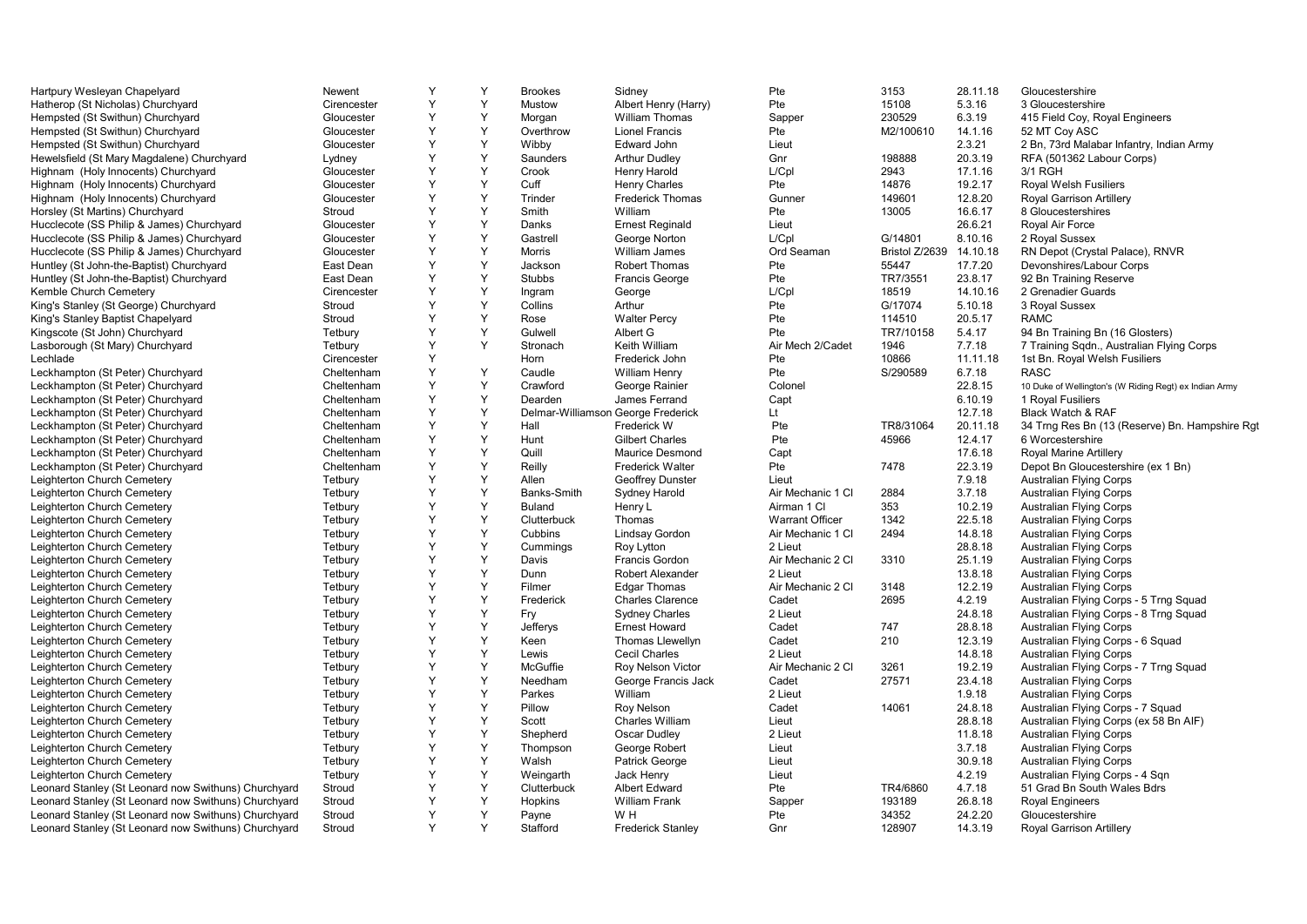| Hartpury Wesleyan Chapelyard                         | Newent           | Y | Y           | <b>Brookes</b>    | Sidney                             | Pte                    | 3153           | 28.11.18 | Gloucestershire                                        |
|------------------------------------------------------|------------------|---|-------------|-------------------|------------------------------------|------------------------|----------------|----------|--------------------------------------------------------|
| Hatherop (St Nicholas) Churchyard                    | Cirencester      | Y | Y           | Mustow            | Albert Henry (Harry)               | Pte                    | 15108          | 5.3.16   | 3 Gloucestershire                                      |
| Hempsted (St Swithun) Churchyard                     | Gloucester       | Y | Y           | Morgan            | <b>William Thomas</b>              | Sapper                 | 230529         | 6.3.19   | 415 Field Coy, Royal Engineers                         |
| Hempsted (St Swithun) Churchyard                     | Gloucester       | Y | Y           | Overthrow         | <b>Lionel Francis</b>              | Pte                    | M2/100610      | 14.1.16  | 52 MT Coy ASC                                          |
| Hempsted (St Swithun) Churchyard                     | Gloucester       | Y | Y           | Wibby             | Edward John                        | Lieut                  |                | 2.3.21   | 2 Bn, 73rd Malabar Infantry, Indian Army               |
| Hewelsfield (St Mary Magdalene) Churchyard           | Lydney           | Y | Y           | Saunders          | <b>Arthur Dudley</b>               | Gnr                    | 198888         | 20.3.19  | RFA (501362 Labour Corps)                              |
| Highnam (Holy Innocents) Churchyard                  | Gloucester       | Y | Y           | Crook             | Henry Harold                       | L/Cpl                  | 2943           | 17.1.16  | 3/1 RGH                                                |
| Highnam (Holy Innocents) Churchyard                  | Gloucester       | Y | Y           | Cuff              | <b>Henry Charles</b>               | Pte                    | 14876          | 19.2.17  | Royal Welsh Fusiliers                                  |
| Highnam (Holy Innocents) Churchyard                  | Gloucester       | Y | Y           | Trinder           | <b>Frederick Thomas</b>            | Gunner                 | 149601         | 12.8.20  | Royal Garrison Artillery                               |
| Horsley (St Martins) Churchyard                      | Stroud           | Y | Y           | Smith             | William                            | Pte                    | 13005          | 16.6.17  | 8 Gloucestershires                                     |
| Hucclecote (SS Philip & James) Churchyard            | Gloucester       | Y | Y           | Danks             | <b>Ernest Reginald</b>             | Lieut                  |                | 26.6.21  | Royal Air Force                                        |
| Hucclecote (SS Philip & James) Churchyard            | Gloucester       | Y | Y           | Gastrell          | George Norton                      | L/Cpl                  | G/14801        | 8.10.16  | 2 Royal Sussex                                         |
| Hucclecote (SS Philip & James) Churchyard            | Gloucester       | Y | Y           | Morris            | <b>William James</b>               | Ord Seaman             | Bristol Z/2639 | 14.10.18 | RN Depot (Crystal Palace), RNVR                        |
| Huntley (St John-the-Baptist) Churchyard             | East Dean        | Y | Y           | Jackson           | <b>Robert Thomas</b>               | Pte                    | 55447          | 17.7.20  | Devonshires/Labour Corps                               |
| Huntley (St John-the-Baptist) Churchyard             | East Dean        | Y | Y           | <b>Stubbs</b>     | <b>Francis George</b>              | Pte                    | TR7/3551       | 23.8.17  | 92 Bn Training Reserve                                 |
| Kemble Church Cemetery                               | Cirencester      | Y | Y           |                   |                                    | L/Cpl                  | 18519          | 14.10.16 | 2 Grenadier Guards                                     |
| King's Stanley (St George) Churchyard                |                  | Y | Y           | Ingram<br>Collins | George                             | Pte                    | G/17074        |          |                                                        |
|                                                      | Stroud<br>Stroud | Y | Y           |                   | Arthur                             | Pte                    |                | 5.10.18  | 3 Royal Sussex<br><b>RAMC</b>                          |
| King's Stanley Baptist Chapelyard                    |                  |   |             | Rose              | <b>Walter Percy</b>                |                        | 114510         | 20.5.17  |                                                        |
| Kingscote (St John) Churchyard                       | Tetbury          | Y | Y           | Gulwell           | Albert G                           | Pte                    | TR7/10158      | 5.4.17   | 94 Bn Training Bn (16 Glosters)                        |
| Lasborough (St Mary) Churchyard                      | Tetbury          | Y | Y           | Stronach          | Keith William                      | Air Mech 2/Cadet       | 1946           | 7.7.18   | 7 Training Sqdn., Australian Flying Corps              |
| Lechlade                                             | Cirencester      | Y |             | Horn              | Frederick John                     | Pte                    | 10866          | 11.11.18 | 1st Bn. Royal Welsh Fusiliers                          |
| Leckhampton (St Peter) Churchyard                    | Cheltenham       | Υ | Y           | Caudle            | <b>William Henry</b>               | Pte                    | S/290589       | 6.7.18   | <b>RASC</b>                                            |
| Leckhampton (St Peter) Churchyard                    | Cheltenham       | Y | Y           | Crawford          | George Rainier                     | Colonel                |                | 22.8.15  | 10 Duke of Wellington's (W Riding Regt) ex Indian Army |
| Leckhampton (St Peter) Churchyard                    | Cheltenham       | Y | Y           | Dearden           | James Ferrand                      | Capt                   |                | 6.10.19  | 1 Royal Fusiliers                                      |
| Leckhampton (St Peter) Churchyard                    | Cheltenham       | Υ | Y           |                   | Delmar-Williamson George Frederick | Lt                     |                | 12.7.18  | Black Watch & RAF                                      |
| Leckhampton (St Peter) Churchyard                    | Cheltenham       | Y | Y           | Hall              | Frederick W                        | Pte                    | TR8/31064      | 20.11.18 | 34 Trng Res Bn (13 (Reserve) Bn. Hampshire Rgt         |
| Leckhampton (St Peter) Churchyard                    | Cheltenham       | Y | Y           | Hunt              | <b>Gilbert Charles</b>             | Pte                    | 45966          | 12.4.17  | 6 Worcestershire                                       |
| Leckhampton (St Peter) Churchyard                    | Cheltenham       | Y | Y           | Quill             | <b>Maurice Desmond</b>             | Capt                   |                | 17.6.18  | Royal Marine Artillery                                 |
| Leckhampton (St Peter) Churchyard                    | Cheltenham       | Υ | Y           | Reilly            | <b>Frederick Walter</b>            | Pte                    | 7478           | 22.3.19  | Depot Bn Gloucestershire (ex 1 Bn)                     |
| Leighterton Church Cemetery                          | Tetbury          | Y | Y           | Allen             | <b>Geoffrey Dunster</b>            | Lieut                  |                | 7.9.18   | <b>Australian Flying Corps</b>                         |
| Leighterton Church Cemetery                          | Tetbury          | Y | Y           | Banks-Smith       | Sydney Harold                      | Air Mechanic 1 Cl      | 2884           | 3.7.18   | <b>Australian Flying Corps</b>                         |
| Leighterton Church Cemetery                          | Tetbury          | Υ | Y           | <b>Buland</b>     | Henry L                            | Airman 1 Cl            | 353            | 10.2.19  | <b>Australian Flying Corps</b>                         |
| Leighterton Church Cemetery                          | Tetbury          | Y | Y           | Clutterbuck       | Thomas                             | <b>Warrant Officer</b> | 1342           | 22.5.18  | <b>Australian Flying Corps</b>                         |
| Leighterton Church Cemetery                          | Tetbury          | Y | Y           | Cubbins           | Lindsay Gordon                     | Air Mechanic 1 Cl      | 2494           | 14.8.18  | <b>Australian Flying Corps</b>                         |
| Leighterton Church Cemetery                          | Tetbury          | Y | $\mathsf Y$ | Cumminas          | Roy Lytton                         | 2 Lieut                |                | 28.8.18  | <b>Australian Flying Corps</b>                         |
| Leighterton Church Cemetery                          | Tetbury          | Y | Y           | Davis             | <b>Francis Gordon</b>              | Air Mechanic 2 Cl      | 3310           | 25.1.19  | <b>Australian Flying Corps</b>                         |
| Leighterton Church Cemetery                          | Tetbury          | Y | Y           | Dunn              | <b>Robert Alexander</b>            | 2 Lieut                |                | 13.8.18  | <b>Australian Flying Corps</b>                         |
| Leighterton Church Cemetery                          | Tetbury          | Y | Y           | Filmer            | <b>Edgar Thomas</b>                | Air Mechanic 2 Cl      | 3148           | 12.2.19  | <b>Australian Flying Corps</b>                         |
| Leighterton Church Cemetery                          | Tetbury          | Y | Y           | Frederick         | <b>Charles Clarence</b>            | Cadet                  | 2695           | 4.2.19   | Australian Flying Corps - 5 Trng Squad                 |
| Leighterton Church Cemetery                          | Tetbury          | Y | Y           | Fry               | <b>Sydney Charles</b>              | 2 Lieut                |                | 24.8.18  | Australian Flying Corps - 8 Trng Squad                 |
| Leighterton Church Cemetery                          | Tetbury          | Y | Y           | Jefferys          | <b>Ernest Howard</b>               | Cadet                  | 747            | 28.8.18  | <b>Australian Flying Corps</b>                         |
| Leighterton Church Cemetery                          | Tetbury          | Y | Y           | Keen              | Thomas Llewellyn                   | Cadet                  | 210            | 12.3.19  | Australian Flying Corps - 6 Squad                      |
| Leighterton Church Cemetery                          | Tetbury          | Y | Y           | Lewis             | <b>Cecil Charles</b>               | 2 Lieut                |                | 14.8.18  | <b>Australian Flying Corps</b>                         |
| Leighterton Church Cemetery                          | Tetbury          | Y | Y           | McGuffie          | <b>Roy Nelson Victor</b>           | Air Mechanic 2 Cl      | 3261           | 19.2.19  | Australian Flying Corps - 7 Trng Squad                 |
| Leighterton Church Cemetery                          | Tetbury          | Y | Y           | Needham           | George Francis Jack                | Cadet                  | 27571          | 23.4.18  | <b>Australian Flying Corps</b>                         |
| Leighterton Church Cemetery                          | Tetbury          | Y | Y           | Parkes            | William                            | 2 Lieut                |                | 1.9.18   | <b>Australian Flying Corps</b>                         |
| Leighterton Church Cemetery                          | Tetbury          | Y | Y           | Pillow            | Roy Nelson                         | Cadet                  | 14061          | 24.8.18  | Australian Flying Corps - 7 Squad                      |
| Leighterton Church Cemetery                          | Tetbury          | Y | Y           | Scott             | <b>Charles William</b>             | Lieut                  |                | 28.8.18  | Australian Flying Corps (ex 58 Bn AIF)                 |
| Leighterton Church Cemetery                          | Tetbury          | Υ | Y           | Shepherd          | Oscar Dudley                       | 2 Lieut                |                | 11.8.18  | <b>Australian Flying Corps</b>                         |
| Leighterton Church Cemetery                          | Tetbury          | Y | Y           | Thompson          | George Robert                      | Lieut                  |                | 3.7.18   | <b>Australian Flying Corps</b>                         |
| Leighterton Church Cemetery                          | Tetbury          | Y | Y           | Walsh             | <b>Patrick George</b>              | Lieut                  |                | 30.9.18  | <b>Australian Flying Corps</b>                         |
| Leighterton Church Cemetery                          | Tetbury          | Y | Y           | Weingarth         | Jack Henry                         | Lieut                  |                | 4.2.19   | Australian Flying Corps - 4 Sqn                        |
| Leonard Stanley (St Leonard now Swithuns) Churchyard | Stroud           | Y | Y           | Clutterbuck       | Albert Edward                      | Pte                    | TR4/6860       | 4.7.18   | 51 Grad Bn South Wales Bdrs                            |
| Leonard Stanley (St Leonard now Swithuns) Churchyard | Stroud           | Y | Y           | Hopkins           | <b>William Frank</b>               | Sapper                 | 193189         | 26.8.18  | <b>Royal Engineers</b>                                 |
| Leonard Stanley (St Leonard now Swithuns) Churchyard | Stroud           | Y | Y           | Payne             | W H                                | Pte                    | 34352          | 24.2.20  | Gloucestershire                                        |
| Leonard Stanley (St Leonard now Swithuns) Churchyard | Stroud           | Y | Y           | Stafford          | <b>Frederick Stanley</b>           | Gnr                    | 128907         | 14.3.19  | Royal Garrison Artillery                               |
|                                                      |                  |   |             |                   |                                    |                        |                |          |                                                        |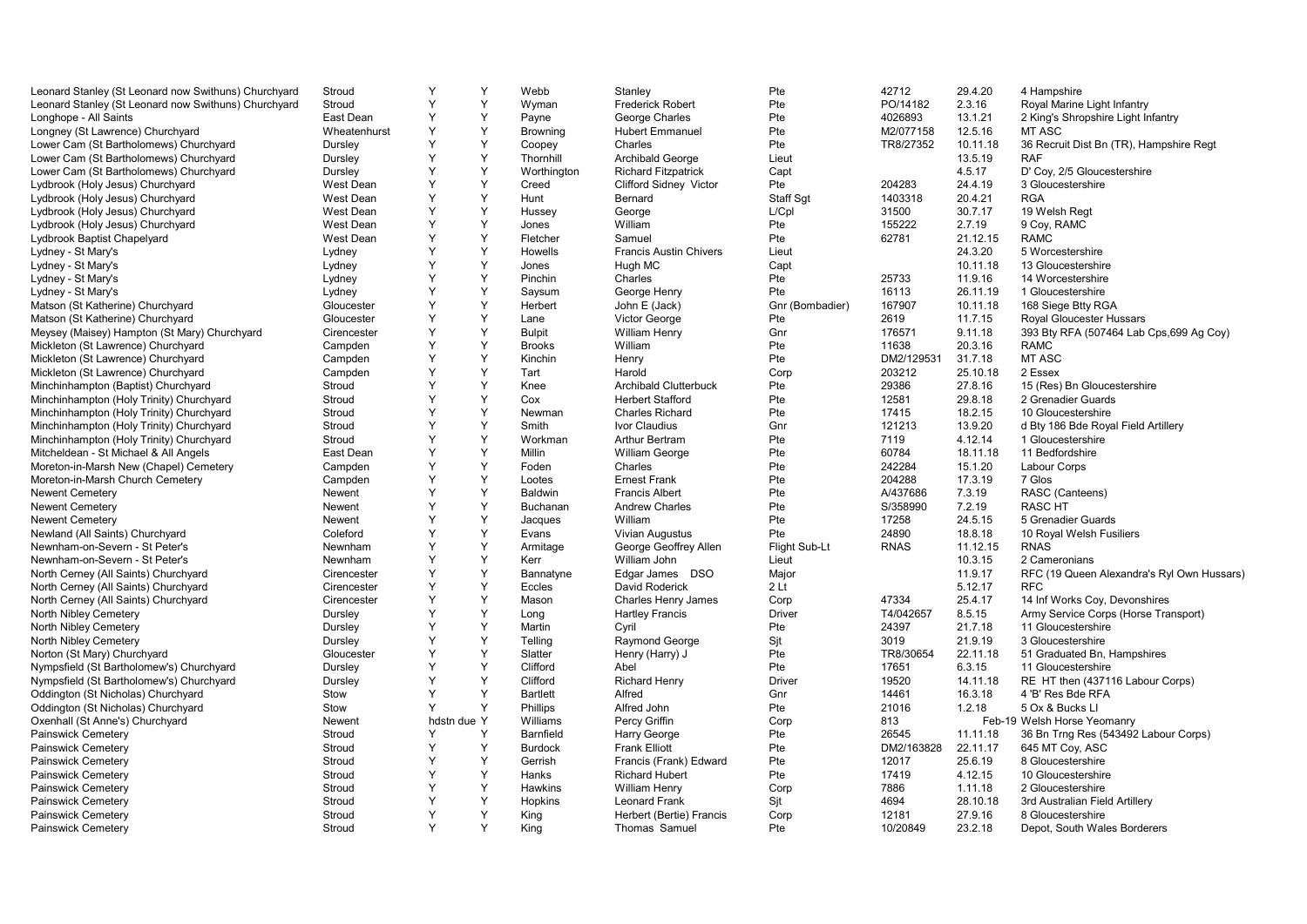| Leonard Stanley (St Leonard now Swithuns) Churchyard | Stroud       | Y              | Y | Webb            | Stanley                       | Pte             | 42712       | 29.4.20  | 4 Hampshire                                |
|------------------------------------------------------|--------------|----------------|---|-----------------|-------------------------------|-----------------|-------------|----------|--------------------------------------------|
| Leonard Stanley (St Leonard now Swithuns) Churchyard | Stroud       | Y              | Y | Wyman           | <b>Frederick Robert</b>       | Pte             | PO/14182    | 2.3.16   | Royal Marine Light Infantry                |
| Longhope - All Saints                                | East Dean    | Υ              | Y | Payne           | George Charles                | Pte             | 4026893     | 13.1.21  | 2 King's Shropshire Light Infantry         |
| Longney (St Lawrence) Churchyard                     | Wheatenhurst | Y              | Y | <b>Browning</b> | <b>Hubert Emmanuel</b>        | Pte             | M2/077158   | 12.5.16  | MT ASC                                     |
| Lower Cam (St Bartholomews) Churchyard               | Dursley      | Y              | Y | Coopey          | Charles                       | Pte             | TR8/27352   | 10.11.18 | 36 Recruit Dist Bn (TR), Hampshire Regt    |
| Lower Cam (St Bartholomews) Churchyard               | Dursley      | Υ              | Y | Thornhill       | Archibald George              | Lieut           |             | 13.5.19  | <b>RAF</b>                                 |
| Lower Cam (St Bartholomews) Churchyard               | Dursley      | Υ              | Y | Worthington     | <b>Richard Fitzpatrick</b>    | Capt            |             | 4.5.17   | D' Coy, 2/5 Gloucestershire                |
| Lydbrook (Holy Jesus) Churchyard                     | West Dean    | Y              | Y | Creed           | Clifford Sidney Victor        | Pte             | 204283      | 24.4.19  | 3 Gloucestershire                          |
| Lydbrook (Holy Jesus) Churchyard                     | West Dean    | Y              | Y | Hunt            | Bernard                       | Staff Sgt       | 1403318     | 20.4.21  | <b>RGA</b>                                 |
| Lydbrook (Holy Jesus) Churchyard                     | West Dean    | Y              | Y | Hussey          | George                        | L/Cpl           | 31500       | 30.7.17  | 19 Welsh Regt                              |
| Lydbrook (Holy Jesus) Churchyard                     | West Dean    | Υ              | Y | Jones           | William                       | Pte             | 155222      | 2.7.19   | 9 Coy, RAMC                                |
| Lydbrook Baptist Chapelyard                          | West Dean    | Y              | Y | Fletcher        | Samuel                        | Pte             | 62781       | 21.12.15 | <b>RAMC</b>                                |
| Lydney - St Mary's                                   | Lydney       | Y              | Y | Howells         | <b>Francis Austin Chivers</b> | Lieut           |             | 24.3.20  | 5 Worcestershire                           |
| Lydney - St Mary's                                   | Lydney       | Y              | Y | Jones           | Hugh MC                       | Capt            |             | 10.11.18 | 13 Gloucestershire                         |
| Lydney - St Mary's                                   | Lydney       | Υ              | Y | Pinchin         | Charles                       | Pte             | 25733       | 11.9.16  | 14 Worcestershire                          |
| Lydney - St Mary's                                   | Lydney       | Y              | Y | Saysum          | George Henry                  | Pte             | 16113       | 26.11.19 | 1 Gloucestershire                          |
| Matson (St Katherine) Churchyard                     | Gloucester   | Y              | Y | Herbert         | John E (Jack)                 | Gnr (Bombadier) | 167907      | 10.11.18 | 168 Siege Btty RGA                         |
| Matson (St Katherine) Churchyard                     | Gloucester   | Υ              | Y | Lane            | Victor George                 | Pte             | 2619        | 11.7.15  | Royal Gloucester Hussars                   |
| Meysey (Maisey) Hampton (St Mary) Churchyard         | Cirencester  | Υ              | Y | <b>Bulpit</b>   | William Henry                 | Gnr             | 176571      | 9.11.18  | 393 Bty RFA (507464 Lab Cps, 699 Ag Coy)   |
| Mickleton (St Lawrence) Churchyard                   | Campden      | Y              | Y | <b>Brooks</b>   | William                       | Pte             | 11638       | 20.3.16  | <b>RAMC</b>                                |
| Mickleton (St Lawrence) Churchyard                   | Campden      | Υ              | Y | Kinchin         | Henry                         | Pte             | DM2/129531  | 31.7.18  | MT ASC                                     |
| Mickleton (St Lawrence) Churchyard                   | Campden      | Υ              | Y | Tart            | Harold                        | Corp            | 203212      | 25.10.18 | 2 Essex                                    |
| Minchinhampton (Baptist) Churchyard                  | Stroud       | Υ              | Y | Knee            | Archibald Clutterbuck         | Pte             | 29386       | 27.8.16  | 15 (Res) Bn Gloucestershire                |
| Minchinhampton (Holy Trinity) Churchyard             | Stroud       | Υ              | Y | Cox             | <b>Herbert Stafford</b>       | Pte             | 12581       | 29.8.18  | 2 Grenadier Guards                         |
| Minchinhampton (Holy Trinity) Churchyard             | Stroud       | Y              | Y | Newman          | <b>Charles Richard</b>        | Pte             | 17415       | 18.2.15  | 10 Gloucestershire                         |
| Minchinhampton (Holy Trinity) Churchyard             | Stroud       | Υ              | Y | Smith           | Ivor Claudius                 | Gnr             | 121213      | 13.9.20  | d Bty 186 Bde Royal Field Artillery        |
| Minchinhampton (Holy Trinity) Churchyard             | Stroud       | Y              | Y | Workman         | Arthur Bertram                | Pte             | 7119        | 4.12.14  | 1 Gloucestershire                          |
| Mitcheldean - St Michael & All Angels                | East Dean    | Y              | Y | Millin          | <b>William George</b>         | Pte             | 60784       | 18.11.18 | 11 Bedfordshire                            |
| Moreton-in-Marsh New (Chapel) Cemetery               | Campden      | Y              | Y | Foden           | Charles                       | Pte             | 242284      | 15.1.20  | Labour Corps                               |
| Moreton-in-Marsh Church Cemetery                     | Campden      | Υ              | Y | Lootes          | <b>Ernest Frank</b>           | Pte             | 204288      | 17.3.19  | 7 Glos                                     |
| Newent Cemetery                                      | Newent       | Y              | Y | Baldwin         | <b>Francis Albert</b>         | Pte             | A/437686    | 7.3.19   | RASC (Canteens)                            |
| <b>Newent Cemetery</b>                               | Newent       | Y              | Y | Buchanan        | <b>Andrew Charles</b>         | Pte             | S/358990    | 7.2.19   | <b>RASCHT</b>                              |
| <b>Newent Cemetery</b>                               | Newent       | Υ              | Y | Jacques         | William                       | Pte             | 17258       | 24.5.15  | 5 Grenadier Guards                         |
| Newland (All Saints) Churchyard                      | Coleford     | Υ              | Y | Evans           | Vivian Augustus               | Pte             | 24890       | 18.8.18  | 10 Royal Welsh Fusiliers                   |
| Newnham-on-Severn - St Peter's                       | Newnham      | Y              | Y | Armitage        | George Geoffrey Allen         | Flight Sub-Lt   | <b>RNAS</b> | 11.12.15 | <b>RNAS</b>                                |
| Newnham-on-Severn - St Peter's                       | Newnham      | Υ              | Y | Kerr            | William John                  | Lieut           |             | 10.3.15  | 2 Cameronians                              |
| North Cerney (All Saints) Churchyard                 | Cirencester  | Υ              | Y | Bannatyne       | Edgar James DSO               | Major           |             | 11.9.17  | RFC (19 Queen Alexandra's Ryl Own Hussars) |
| North Cerney (All Saints) Churchyard                 | Cirencester  | Υ              | Y | Eccles          | David Roderick                | 2 <sub>lt</sub> |             | 5.12.17  | <b>RFC</b>                                 |
| North Cerney (All Saints) Churchyard                 | Cirencester  | Y              | Y | Mason           | Charles Henry James           | Corp            | 47334       | 25.4.17  | 14 Inf Works Coy, Devonshires              |
| North Nibley Cemetery                                | Dursley      | Y              | Y | Long            | <b>Hartley Francis</b>        | Driver          | T4/042657   | 8.5.15   | Army Service Corps (Horse Transport)       |
| North Nibley Cemetery                                | Dursley      | Y              | Y | Martin          | Cyril                         | Pte             | 24397       | 21.7.18  | 11 Gloucestershire                         |
| North Nibley Cemetery                                | Dursley      | Υ              | Y | Telling         | Raymond George                | Sjt             | 3019        | 21.9.19  | 3 Gloucestershire                          |
| Norton (St Mary) Churchyard                          | Gloucester   | Y              | Y | Slatter         | Henry (Harry) J               | Pte             | TR8/30654   | 22.11.18 | 51 Graduated Bn, Hampshires                |
| Nympsfield (St Bartholomew's) Churchyard             | Dursley      | Y              | Y | Clifford        | Abel                          | Pte             | 17651       | 6.3.15   | 11 Gloucestershire                         |
| Nympsfield (St Bartholomew's) Churchyard             | Dursley      | Y              | Y | Clifford        | <b>Richard Henry</b>          | <b>Driver</b>   | 19520       | 14.11.18 | RE HT then (437116 Labour Corps)           |
| Oddington (St Nicholas) Churchyard                   | Stow         | Υ              | Y | <b>Bartlett</b> | Alfred                        | Gnr             | 14461       | 16.3.18  | 4 'B' Res Bde RFA                          |
| Oddington (St Nicholas) Churchyard                   | Stow         | Y              | Y | Phillips        | Alfred John                   | Pte             | 21016       | 1.2.18   | 5 Ox & Bucks LI                            |
| Oxenhall (St Anne's) Churchyard                      | Newent       | due Y<br>hdstn |   | Williams        | Percy Griffin                 | Corp            | 813         |          | Feb-19 Welsh Horse Yeomanry                |
| Painswick Cemetery                                   | Stroud       | Y              | Υ | Barnfield       | Harry George                  | Pte             | 26545       | 11.11.18 | 36 Bn Trng Res (543492 Labour Corps)       |
| Painswick Cemetery                                   | Stroud       | Υ              | Y | <b>Burdock</b>  | <b>Frank Elliott</b>          | Pte             | DM2/163828  | 22.11.17 | 645 MT Coy, ASC                            |
| Painswick Cemetery                                   | Stroud       | Y              | Y | Gerrish         | Francis (Frank) Edward        | Pte             | 12017       | 25.6.19  | 8 Gloucestershire                          |
| Painswick Cemetery                                   | Stroud       | Y              | Y | Hanks           | <b>Richard Hubert</b>         | Pte             | 17419       | 4.12.15  | 10 Gloucestershire                         |
| Painswick Cemetery                                   | Stroud       | Y              | Y | Hawkins         | <b>William Henry</b>          | Corp            | 7886        | 1.11.18  | 2 Gloucestershire                          |
| Painswick Cemetery                                   | Stroud       | Y              | Y | Hopkins         | <b>Leonard Frank</b>          | Sjt             | 4694        | 28.10.18 | 3rd Australian Field Artillery             |
| Painswick Cemetery                                   | Stroud       | Y              | Y | King            | Herbert (Bertie) Francis      | Corp            | 12181       | 27.9.16  | 8 Gloucestershire                          |
| Painswick Cemetery                                   | Stroud       | Y              | Y | King            | Thomas Samuel                 | Pte             | 10/20849    | 23.2.18  | Depot, South Wales Borderers               |
|                                                      |              |                |   |                 |                               |                 |             |          |                                            |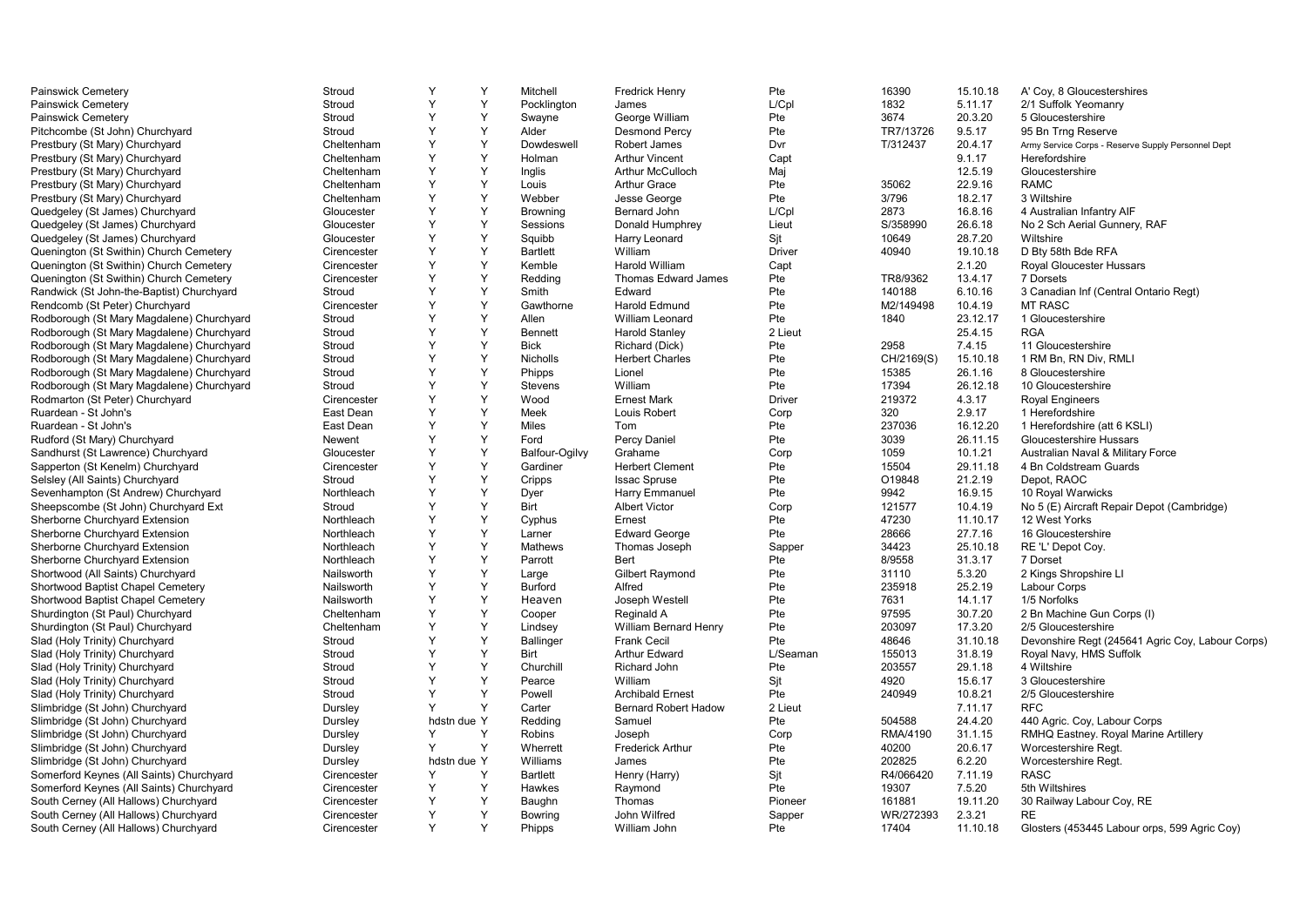| Painswick Cemetery                        | Stroud      | Y           | Υ | Mitchell         | <b>Fredrick Henry</b>        | Pte           | 16390      | 15.10.18 | A' Coy, 8 Gloucestershires                         |
|-------------------------------------------|-------------|-------------|---|------------------|------------------------------|---------------|------------|----------|----------------------------------------------------|
| Painswick Cemetery                        | Stroud      | Y           | Y | Pocklington      | James                        | L/Cpl         | 1832       | 5.11.17  | 2/1 Suffolk Yeomanry                               |
| Painswick Cemetery                        | Stroud      | Y           | Y | Swayne           | George William               | Pte           | 3674       | 20.3.20  | 5 Gloucestershire                                  |
| Pitchcombe (St John) Churchyard           | Stroud      | Y           | Y | Alder            | <b>Desmond Percy</b>         | Pte           | TR7/13726  | 9.5.17   | 95 Bn Trng Reserve                                 |
| Prestbury (St Mary) Churchyard            | Cheltenham  | Y           | Y | Dowdeswell       | Robert James                 | Dvr           | T/312437   | 20.4.17  | Army Service Corps - Reserve Supply Personnel Dept |
| Prestbury (St Mary) Churchyard            | Cheltenham  | Y           | Y | Holman           | <b>Arthur Vincent</b>        | Capt          |            | 9.1.17   | Herefordshire                                      |
| Prestbury (St Mary) Churchyard            | Cheltenham  | Υ           | Y | Inglis           | Arthur McCulloch             | Maj           |            | 12.5.19  | Gloucestershire                                    |
| Prestbury (St Mary) Churchyard            | Cheltenham  | Y           | Y | Louis            | <b>Arthur Grace</b>          | Pte           | 35062      | 22.9.16  | <b>RAMC</b>                                        |
| Prestbury (St Mary) Churchyard            | Cheltenham  | Y           | Y | Webber           | Jesse George                 | Pte           | 3/796      | 18.2.17  | 3 Wiltshire                                        |
| Quedgeley (St James) Churchyard           | Gloucester  | Υ           | Y | <b>Browning</b>  | Bernard John                 | L/Cpl         | 2873       | 16.8.16  | 4 Australian Infantry AIF                          |
| Quedgeley (St James) Churchyard           | Gloucester  | Y           | Y | Sessions         | Donald Humphrey              | Lieut         | S/358990   | 26.6.18  | No 2 Sch Aerial Gunnery, RAF                       |
| Quedgeley (St James) Churchyard           | Gloucester  | Y           | Y | Squibb           | Harry Leonard                | Sit           | 10649      | 28.7.20  | Wiltshire                                          |
| Quenington (St Swithin) Church Cemetery   | Cirencester | Υ           | Y | <b>Bartlett</b>  | William                      | <b>Driver</b> | 40940      | 19.10.18 | D Bty 58th Bde RFA                                 |
| Quenington (St Swithin) Church Cemetery   | Cirencester | Υ           | Y | Kemble           | Harold William               | Capt          |            | 2.1.20   | Royal Gloucester Hussars                           |
| Quenington (St Swithin) Church Cemetery   | Cirencester | Y           | Y | Redding          | <b>Thomas Edward James</b>   | Pte           | TR8/9362   | 13.4.17  | 7 Dorsets                                          |
| Randwick (St John-the-Baptist) Churchyard | Stroud      | Υ           | Y | Smith            | Edward                       | Pte           | 140188     | 6.10.16  | 3 Canadian Inf (Central Ontario Regt)              |
| Rendcomb (St Peter) Churchyard            | Cirencester | Y           | Y | Gawthorne        | Harold Edmund                | Pte           | M2/149498  | 10.4.19  | <b>MT RASC</b>                                     |
| Rodborough (St Mary Magdalene) Churchyard | Stroud      | Y           | Y | Allen            | <b>William Leonard</b>       | Pte           | 1840       | 23.12.17 | 1 Gloucestershire                                  |
| Rodborough (St Mary Magdalene) Churchyard | Stroud      | Y           | Y | Bennett          | <b>Harold Stanley</b>        | 2 Lieut       |            | 25.4.15  | <b>RGA</b>                                         |
| Rodborough (St Mary Magdalene) Churchyard | Stroud      | Y           | Y | <b>Bick</b>      | Richard (Dick)               | Pte           | 2958       | 7.4.15   | 11 Gloucestershire                                 |
| Rodborough (St Mary Magdalene) Churchyard | Stroud      | Y           | Y | Nicholls         | <b>Herbert Charles</b>       | Pte           | CH/2169(S) | 15.10.18 | 1 RM Bn, RN Div, RMLI                              |
| Rodborough (St Mary Magdalene) Churchyard | Stroud      | Y           | Y | Phipps           | Lionel                       | Pte           | 15385      | 26.1.16  | 8 Gloucestershire                                  |
| Rodborough (St Mary Magdalene) Churchyard | Stroud      | Y           | Y | Stevens          | William                      | Pte           | 17394      | 26.12.18 | 10 Gloucestershire                                 |
| Rodmarton (St Peter) Churchyard           | Cirencester | Y           | Y | Wood             | <b>Ernest Mark</b>           | <b>Driver</b> | 219372     | 4.3.17   | <b>Royal Engineers</b>                             |
| Ruardean - St John's                      | East Dean   | Υ           | Y | Meek             | Louis Robert                 | Corp          | 320        | 2.9.17   | 1 Herefordshire                                    |
| Ruardean - St John's                      | East Dean   | Y           | Y | <b>Miles</b>     | Tom                          | Pte           | 237036     | 16.12.20 | 1 Herefordshire (att 6 KSLI)                       |
| Rudford (St Mary) Churchyard              | Newent      | Y           | Y | Ford             | Percy Daniel                 | Pte           | 3039       | 26.11.15 | Gloucestershire Hussars                            |
| Sandhurst (St Lawrence) Churchyard        | Gloucester  | Υ           | Y | Balfour-Ogilvy   | Grahame                      | Corp          | 1059       | 10.1.21  | Australian Naval & Military Force                  |
| Sapperton (St Kenelm) Churchyard          | Cirencester | Y           | Y | Gardiner         | <b>Herbert Clement</b>       | Pte           | 15504      | 29.11.18 | 4 Bn Coldstream Guards                             |
| Selsley (All Saints) Churchyard           | Stroud      | Y           | Y | Cripps           | <b>Issac Spruse</b>          | Pte           | O19848     | 21.2.19  | Depot, RAOC                                        |
| Sevenhampton (St Andrew) Churchyard       | Northleach  | Y           | Y | Dyer             | Harry Emmanuel               | Pte           | 9942       | 16.9.15  | 10 Royal Warwicks                                  |
| Sheepscombe (St John) Churchyard Ext      | Stroud      | Y           | Y | Birt             | <b>Albert Victor</b>         | Corp          | 121577     | 10.4.19  | No 5 (E) Aircraft Repair Depot (Cambridge)         |
| Sherborne Churchyard Extension            | Northleach  | Y           | Y | Cyphus           | Ernest                       | Pte           | 47230      | 11.10.17 | 12 West Yorks                                      |
| Sherborne Churchyard Extension            | Northleach  | Y           | Y | Larner           | <b>Edward George</b>         | Pte           | 28666      | 27.7.16  | 16 Gloucestershire                                 |
| Sherborne Churchyard Extension            | Northleach  | Y           | Y | Mathews          | Thomas Joseph                | Sapper        | 34423      | 25.10.18 | RE 'L' Depot Coy.                                  |
| Sherborne Churchyard Extension            | Northleach  | Y           | Y | Parrott          | Bert                         | Pte           | 8/9558     | 31.3.17  | 7 Dorset                                           |
| Shortwood (All Saints) Churchyard         | Nailsworth  | Y           | Y | Large            | <b>Gilbert Raymond</b>       | Pte           | 31110      | 5.3.20   | 2 Kings Shropshire Ll                              |
| Shortwood Baptist Chapel Cemetery         | Nailsworth  | Y           | Y | Burford          | Alfred                       | Pte           | 235918     | 25.2.19  | <b>Labour Corps</b>                                |
| Shortwood Baptist Chapel Cemetery         | Nailsworth  | Y           | Y | Heaven           | Joseph Westell               | Pte           | 7631       | 14.1.17  | 1/5 Norfolks                                       |
| Shurdington (St Paul) Churchyard          | Cheltenham  | Y           | Y | Cooper           | Reginald A                   | Pte           | 97595      | 30.7.20  | 2 Bn Machine Gun Corps (I)                         |
| Shurdington (St Paul) Churchyard          | Cheltenham  | Y           | Y | Lindsey          | <b>William Bernard Henry</b> | Pte           | 203097     | 17.3.20  | 2/5 Gloucestershire                                |
| Slad (Holy Trinity) Churchyard            | Stroud      | Y           | Y | <b>Ballinger</b> | <b>Frank Cecil</b>           | Pte           | 48646      | 31.10.18 | Devonshire Regt (245641 Agric Coy, Labour Corps)   |
| Slad (Holy Trinity) Churchyard            | Stroud      | Y           | Y | Birt             | <b>Arthur Edward</b>         | L/Seaman      | 155013     | 31.8.19  | Royal Navy, HMS Suffolk                            |
| Slad (Holy Trinity) Churchyard            | Stroud      | Y           | Y | Churchill        | Richard John                 | Pte           | 203557     | 29.1.18  | 4 Wiltshire                                        |
| Slad (Holy Trinity) Churchyard            | Stroud      | Y           | Y | Pearce           | William                      | Sit           | 4920       | 15.6.17  | 3 Gloucestershire                                  |
| Slad (Holy Trinity) Churchyard            | Stroud      | Y           | Y | Powell           | <b>Archibald Ernest</b>      | Pte           | 240949     | 10.8.21  | 2/5 Gloucestershire                                |
| Slimbridge (St John) Churchyard           | Dursley     | Y           | Y | Carter           | <b>Bernard Robert Hadow</b>  | 2 Lieut       |            | 7.11.17  | <b>RFC</b>                                         |
| Slimbridge (St John) Churchyard           | Dursley     | hdstn due Y |   | Redding          | Samuel                       | Pte           | 504588     | 24.4.20  | 440 Agric. Coy, Labour Corps                       |
| Slimbridge (St John) Churchyard           | Dursley     | Y           | Y | Robins           | Joseph                       | Corp          | RMA/4190   | 31.1.15  | RMHQ Eastney. Royal Marine Artillery               |
| Slimbridge (St John) Churchyard           | Dursley     | Y           | Y | Wherrett         | <b>Frederick Arthur</b>      | Pte           | 40200      | 20.6.17  | Worcestershire Regt.                               |
| Slimbridge (St John) Churchyard           | Dursley     | hdstn due Y |   | Williams         | James                        | Pte           | 202825     | 6.2.20   | Worcestershire Regt.                               |
| Somerford Keynes (All Saints) Churchyard  | Cirencester | Y           | Y | <b>Bartlett</b>  | Henry (Harry)                | Sjt           | R4/066420  | 7.11.19  | <b>RASC</b>                                        |
| Somerford Keynes (All Saints) Churchyard  | Cirencester | Y           | Y | Hawkes           | Raymond                      | Pte           | 19307      | 7.5.20   | 5th Wiltshires                                     |
| South Cerney (All Hallows) Churchyard     | Cirencester | Υ           | Y | Baughn           | Thomas                       | Pioneer       | 161881     | 19.11.20 | 30 Railway Labour Coy, RE                          |
| South Cerney (All Hallows) Churchyard     | Cirencester | Y           | Y | Bowring          | John Wilfred                 | Sapper        | WR/272393  | 2.3.21   | RE.                                                |
| South Cerney (All Hallows) Churchyard     | Cirencester | Y           | Y | Phipps           | William John                 | Pte           | 17404      | 11.10.18 | Glosters (453445 Labour orps, 599 Agric Coy)       |
|                                           |             |             |   |                  |                              |               |            |          |                                                    |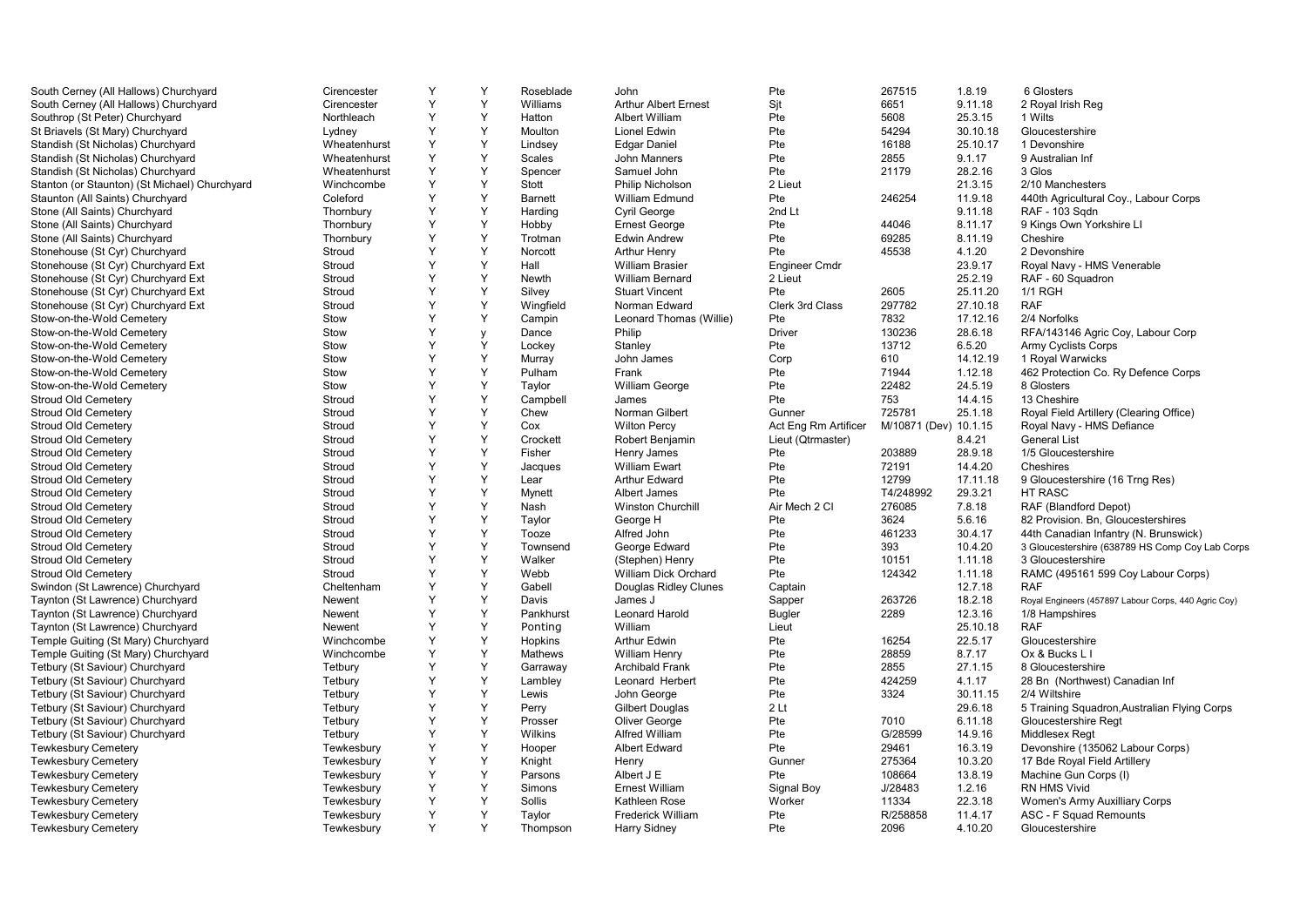| South Cerney (All Hallows) Churchyard         | Cirencester  | Y      | Y | Roseblade      | John                        | Pte                  | 267515                | 1.8.19   | 6 Glosters                                           |
|-----------------------------------------------|--------------|--------|---|----------------|-----------------------------|----------------------|-----------------------|----------|------------------------------------------------------|
| South Cerney (All Hallows) Churchyard         | Cirencester  | Y      | Y | Williams       | <b>Arthur Albert Ernest</b> | Sit                  | 6651                  | 9.11.18  | 2 Royal Irish Reg                                    |
| Southrop (St Peter) Churchyard                | Northleach   | Y      | Y | Hatton         | Albert William              | Pte                  | 5608                  | 25.3.15  | 1 Wilts                                              |
| St Briavels (St Mary) Churchyard              | Lydney       | Y      | Y | Moulton        | Lionel Edwin                | Pte                  | 54294                 | 30.10.18 | Gloucestershire                                      |
| Standish (St Nicholas) Churchyard             | Wheatenhurst | Υ      | Y | Lindsey        | <b>Edgar Daniel</b>         | Pte                  | 16188                 | 25.10.17 | 1 Devonshire                                         |
| Standish (St Nicholas) Churchyard             | Wheatenhurst | Y      | Y | <b>Scales</b>  | John Manners                | Pte                  | 2855                  | 9.1.17   | 9 Australian Inf                                     |
| Standish (St Nicholas) Churchyard             | Wheatenhurst | Y      | Y | Spencer        | Samuel John                 | Pte                  | 21179                 | 28.2.16  | 3 Glos                                               |
| Stanton (or Staunton) (St Michael) Churchyard | Winchcombe   | Y      | Y | Stott          | <b>Philip Nicholson</b>     | 2 Lieut              |                       | 21.3.15  | 2/10 Manchesters                                     |
| Staunton (All Saints) Churchyard              | Coleford     | Y      | Y | <b>Barnett</b> | William Edmund              | Pte                  | 246254                | 11.9.18  | 440th Agricultural Coy., Labour Corps                |
| Stone (All Saints) Churchyard                 | Thornbury    | Y      | Y | Harding        | Cyril George                | 2nd Lt               |                       | 9.11.18  | RAF - 103 Sqdn                                       |
| Stone (All Saints) Churchyard                 | Thornbury    | Y      | Y | Hobby          | <b>Ernest George</b>        | Pte                  | 44046                 | 8.11.17  | 9 Kings Own Yorkshire LI                             |
| Stone (All Saints) Churchyard                 | Thornbury    | Y      | Y | Trotman        | <b>Edwin Andrew</b>         | Pte                  | 69285                 | 8.11.19  | Cheshire                                             |
| Stonehouse (St Cyr) Churchyard                | Stroud       | Y      | Υ | Norcott        | <b>Arthur Henry</b>         | Pte                  | 45538                 | 4.1.20   | 2 Devonshire                                         |
| Stonehouse (St Cyr) Churchyard Ext            | Stroud       | Υ      | Y | Hall           | <b>William Brasier</b>      | <b>Engineer Cmdr</b> |                       | 23.9.17  | Royal Navy - HMS Venerable                           |
| Stonehouse (St Cyr) Churchyard Ext            | Stroud       | Y      | Y | Newth          | William Bernard             | 2 Lieut              |                       | 25.2.19  | RAF - 60 Squadron                                    |
| Stonehouse (St Cyr) Churchyard Ext            | Stroud       | Y      | Y | Silvey         | <b>Stuart Vincent</b>       | Pte                  | 2605                  | 25.11.20 | <b>1/1 RGH</b>                                       |
| Stonehouse (St Cyr) Churchyard Ext            | Stroud       | Y      | Y | Wingfield      | Norman Edward               | Clerk 3rd Class      | 297782                | 27.10.18 | <b>RAF</b>                                           |
| Stow-on-the-Wold Cemetery                     | Stow         | Y      | Y | Campin         | Leonard Thomas (Willie)     | Pte                  | 7832                  | 17.12.16 | 2/4 Norfolks                                         |
| Stow-on-the-Wold Cemetery                     | Stow         | Y      | y | Dance          | Philip                      | <b>Driver</b>        | 130236                | 28.6.18  | RFA/143146 Agric Coy, Labour Corp                    |
| Stow-on-the-Wold Cemetery                     | Stow         | Υ      | Y | Lockey         | Stanley                     | Pte                  | 13712                 | 6.5.20   | <b>Army Cyclists Corps</b>                           |
| Stow-on-the-Wold Cemetery                     | Stow         | Y      | Y | Murray         | John James                  | Corp                 | 610                   | 14.12.19 | 1 Royal Warwicks                                     |
|                                               | Stow         | Y      | Y | Pulham         | Frank                       | Pte                  | 71944                 | 1.12.18  |                                                      |
| Stow-on-the-Wold Cemetery                     |              |        | Y |                |                             |                      |                       |          | 462 Protection Co. Ry Defence Corps                  |
| Stow-on-the-Wold Cemetery                     | Stow         | Y<br>Y |   | Taylor         | <b>William George</b>       | Pte                  | 22482                 | 24.5.19  | 8 Glosters                                           |
| <b>Stroud Old Cemetery</b>                    | Stroud       | Y      | Y | Campbell       | James                       | Pte                  | 753                   | 14.4.15  | 13 Cheshire                                          |
| <b>Stroud Old Cemetery</b>                    | Stroud       |        | Y | Chew           | Norman Gilbert              | Gunner               | 725781                | 25.1.18  | Royal Field Artillery (Clearing Office)              |
| Stroud Old Cemetery                           | Stroud       | Y      | Y | Cox            | <b>Wilton Percy</b>         | Act Eng Rm Artificer | M/10871 (Dev) 10.1.15 |          | Royal Navy - HMS Defiance                            |
| <b>Stroud Old Cemetery</b>                    | Stroud       | Y      | Y | Crockett       | Robert Benjamin             | Lieut (Qtrmaster)    |                       | 8.4.21   | <b>General List</b>                                  |
| Stroud Old Cemetery                           | Stroud       | Y      | Y | Fisher         | Henry James                 | Pte                  | 203889                | 28.9.18  | 1/5 Gloucestershire                                  |
| <b>Stroud Old Cemetery</b>                    | Stroud       | Y      | Y | Jacques        | <b>William Ewart</b>        | Pte                  | 72191                 | 14.4.20  | Cheshires                                            |
| <b>Stroud Old Cemetery</b>                    | Stroud       | Y      | Y | Lear           | <b>Arthur Edward</b>        | Pte                  | 12799                 | 17.11.18 | 9 Gloucestershire (16 Trng Res)                      |
| Stroud Old Cemetery                           | Stroud       | Y      | Y | Mynett         | Albert James                | Pte                  | T4/248992             | 29.3.21  | HT RASC                                              |
| <b>Stroud Old Cemetery</b>                    | Stroud       | Y      | Y | Nash           | <b>Winston Churchill</b>    | Air Mech 2 Cl        | 276085                | 7.8.18   | RAF (Blandford Depot)                                |
| <b>Stroud Old Cemetery</b>                    | Stroud       | Y      | Y | Taylor         | George H                    | Pte                  | 3624                  | 5.6.16   | 82 Provision. Bn, Gloucestershires                   |
| <b>Stroud Old Cemetery</b>                    | Stroud       | Y      | Y | Tooze          | Alfred John                 | Pte                  | 461233                | 30.4.17  | 44th Canadian Infantry (N. Brunswick)                |
| <b>Stroud Old Cemetery</b>                    | Stroud       | Y      | Y | Townsend       | George Edward               | Pte                  | 393                   | 10.4.20  | 3 Gloucestershire (638789 HS Comp Coy Lab Corps      |
| <b>Stroud Old Cemetery</b>                    | Stroud       | Y      | Y | Walker         | (Stephen) Henry             | Pte                  | 10151                 | 1.11.18  | 3 Gloucestershire                                    |
| <b>Stroud Old Cemetery</b>                    | Stroud       | Y      | Y | Webb           | William Dick Orchard        | Pte                  | 124342                | 1.11.18  | RAMC (495161 599 Coy Labour Corps)                   |
| Swindon (St Lawrence) Churchyard              | Cheltenham   | Y      | Y | Gabell         | Douglas Ridley Clunes       | Captain              |                       | 12.7.18  | <b>RAF</b>                                           |
| Taynton (St Lawrence) Churchyard              | Newent       | Y      | Y | Davis          | James J                     | Sapper               | 263726                | 18.2.18  | Royal Engineers (457897 Labour Corps, 440 Agric Coy) |
| Taynton (St Lawrence) Churchyard              | Newent       | Y      | Y | Pankhurst      | Leonard Harold              | <b>Bugler</b>        | 2289                  | 12.3.16  | 1/8 Hampshires                                       |
| Taynton (St Lawrence) Churchyard              | Newent       | Y      | Y | Ponting        | William                     | Lieut                |                       | 25.10.18 | <b>RAF</b>                                           |
| Temple Guiting (St Mary) Churchyard           | Winchcombe   | Y      | Y | Hopkins        | Arthur Edwin                | Pte                  | 16254                 | 22.5.17  | Gloucestershire                                      |
| Temple Guiting (St Mary) Churchyard           | Winchcombe   | Y      | Y | Mathews        | <b>William Henry</b>        | Pte                  | 28859                 | 8.7.17   | Ox & Bucks L I                                       |
| Tetbury (St Saviour) Churchyard               | Tetbury      | Y      | Y | Garraway       | <b>Archibald Frank</b>      | Pte                  | 2855                  | 27.1.15  | 8 Gloucestershire                                    |
| Tetbury (St Saviour) Churchyard               | Tetbury      | Y      | Y | Lambley        | Leonard Herbert             | Pte                  | 424259                | 4.1.17   | 28 Bn (Northwest) Canadian Inf                       |
| Tetbury (St Saviour) Churchyard               | Tetbury      | Y      | Y | Lewis          | John George                 | Pte                  | 3324                  | 30.11.15 | 2/4 Wiltshire                                        |
| Tetbury (St Saviour) Churchyard               | Tetbury      | Y      | Y | Perry          | <b>Gilbert Douglas</b>      | 2 <sub>lt</sub>      |                       | 29.6.18  | 5 Training Squadron, Australian Flying Corps         |
| Tetbury (St Saviour) Churchyard               | Tetbury      | Y      | Y | Prosser        | Oliver George               | Pte                  | 7010                  | 6.11.18  | Gloucestershire Regt                                 |
| Tetbury (St Saviour) Churchyard               | Tetbury      | Y      | Y | Wilkins        | Alfred William              | Pte                  | G/28599               | 14.9.16  | Middlesex Regt                                       |
| <b>Tewkesbury Cemetery</b>                    | Tewkesbury   | Y      | Y | Hooper         | <b>Albert Edward</b>        | Pte                  | 29461                 | 16.3.19  | Devonshire (135062 Labour Corps)                     |
|                                               |              | Y      | Y |                |                             | Gunner               |                       |          |                                                      |
| <b>Tewkesbury Cemetery</b>                    | Tewkesbury   | Y      | Y | Knight         | Henry                       |                      | 275364                | 10.3.20  | 17 Bde Royal Field Artillery                         |
| <b>Tewkesbury Cemetery</b>                    | Tewkesbury   |        |   | Parsons        | Albert J E                  | Pte                  | 108664                | 13.8.19  | Machine Gun Corps (I)                                |
| <b>Tewkesbury Cemetery</b>                    | Tewkesbury   | Υ      | Y | Simons         | <b>Ernest William</b>       | Signal Boy           | J/28483               | 1.2.16   | RN HMS Vivid                                         |
| <b>Tewkesbury Cemetery</b>                    | Tewkesbury   | Y      | Y | Sollis         | Kathleen Rose               | Worker               | 11334                 | 22.3.18  | Women's Army Auxilliary Corps                        |
| <b>Tewkesbury Cemetery</b>                    | Tewkesbury   | Y      | Y | Taylor         | <b>Frederick William</b>    | Pte                  | R/258858              | 11.4.17  | ASC - F Squad Remounts                               |
| Tewkesbury Cemetery                           | Tewkesbury   | Y      | Y | Thompson       | <b>Harry Sidney</b>         | Pte                  | 2096                  | 4.10.20  | Gloucestershire                                      |